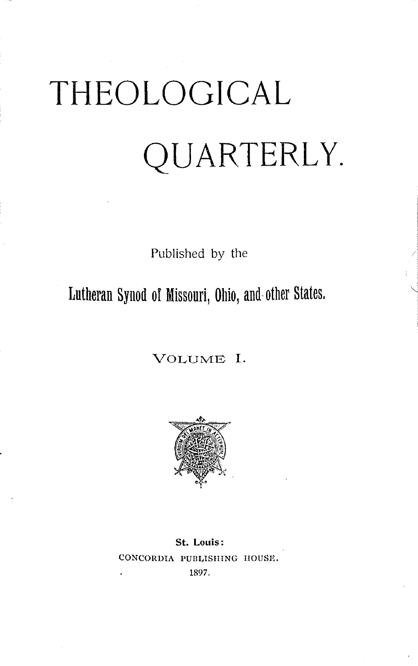# THEOLOGICAL QUARTERLY.

Published by the

Lutheran Synod oI Missouri, Ohio, and-other States.

VOLUME I.



**St. Louis:**  CONCORDIA PUBLISHING HOUSE. 1897.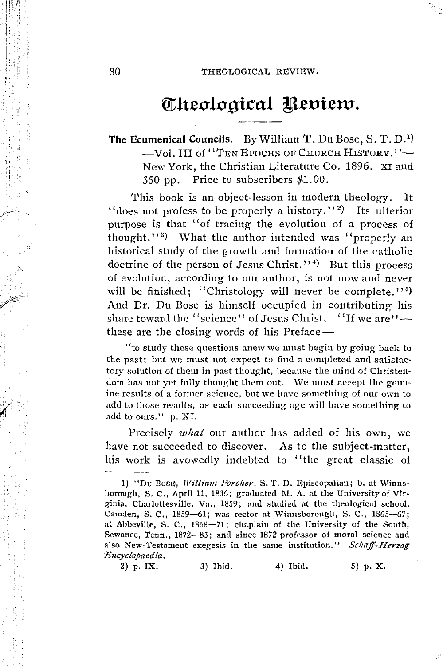# Theological Review.

The Ecumenical Councils. By William T. Du Bose, S. T. D.<sup>1</sup>) -Vol. III of "TEN EPOCHS OF CHURCH HISTORY."-New York, the Christian Literature Co. 1896. XI and 350 pp. Price to subscribers \$1.00.

This book is an object-lesson in modern theology. It "does not profess to be properly a history."<sup>2</sup>) Its ulterior purpose is that "of tracing the evolution of a process of thought."<sup>3</sup>) What the author intended was "properly an historical study of the growth and formation of the catholic doctrine of the person of Jesus Christ."<sup>4)</sup> But this process of evolution, according to our author, is not now and never will be finished; "Christology will never be complete."<sup>5</sup>) And Dr. Du Bose is himself occupied in contributing his share toward the "science" of Jesus Christ. "If we are" these are the closing words of his Preface—

"to study these questions anew we must begin by going back to the past; but we must not expect to find a completed and satisfactory solution of them in past thought, because the mind of Christendom has not yet fully thought them out. We must accept the genuine results of a former science, but we have something of our own to add to those results, as each succeeding age will have something to add to ours." p. XI.

Precisely what our author has added of his own, we have not succeeded to discover. As to the subject-matter, his work is avowedly indebted to "the great classic of

2) p. IX. 3) Ibid. 4) Ibid. 5) p. X.

<sup>1) &</sup>quot;Du Bosit, William Porcher, S. T. D. Episcopalian; b. at Winnsborough, S. C., April 11, 1836; graduated M. A. at the University of Virginia, Charlottesville, Va., 1859; and studied at the theological school, Camden, S. C., 1859-61; was rector at Winnsborough, S. C., 1865-67; at Abbeville, S. C., 1868-71; chaplain of the University of the South, Sewanee, Tenn., 1872-83; and since 1872 professor of moral science and also New-Testament exegesis in the same institution." Schaff-Herzog Encyclopaedia,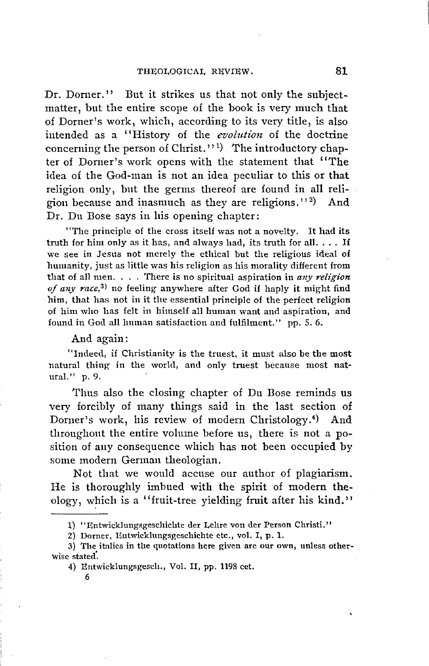Dr. Dorner." But it strikes us that not only the subjectmatter, but the entire scope of the book is very much that of Dorner's work, which, according to its very title, is also intended as a "History of the *evolution* of the doctrine concerning the person of Christ."<sup>1</sup>) The introductory chapter of Dorner's work opens with the statement that "The idea of the God-man is not an idea peculiar to this or that religion only, but the germs thereof are found in all religion because and inasmuch as they are religions."<sup>2</sup>) And Dr. Du Bose says in his opening chapter:

"The principle of the cross itself was not a novelty. lt had its truth for him only as it has, and always had, its truth for all.  $\dots$  If we see in Jesus not merely the ethical but the religious ideal of humanity, just as little was his religion as his morality different from 'that of all men. . . . 'fhere is no spiritual aspiration in *any religion of any race,3)* no feeling anywhere after God if haply it might find him, that has not in it the essential principle of the perfect religion of him who has felt in himself all human want and aspiration, and fouml in God all human satisfaction and fulfilment." pp. 5. 6.

#### And again:

"Indeed, if Christianity is the truest, it must also be the most natural thing in the world, and only truest because most natural." p. 9.

Tlms also the closing chapter of Du Bose reminds us very forcibly of many things said in the last section of Dorner's work, his review of modern Christology.4) And throughout the entire volume before us, there is not a position of any consequence which has not been occupied by some modern German theologian.

Not tliat we would accuse our author of plagiarism. He is thoroughly imbued with the spirit of modern theology, which is a "fruit-tree yielding fruit after his kind."

<sup>1) &</sup>quot;Entwicklungsgeschichte der Lehre von der Person Christi."

<sup>2)</sup> Dorner, Eutwicklungsgeschichte etc., vol. I, p. 1.

<sup>3)</sup> The italics in the quotations here given are our own, unless otherwise stated'.

<sup>4)</sup> Entwicklungsgesch., Vol. II, pp. 1198 cet.

<sup>6</sup>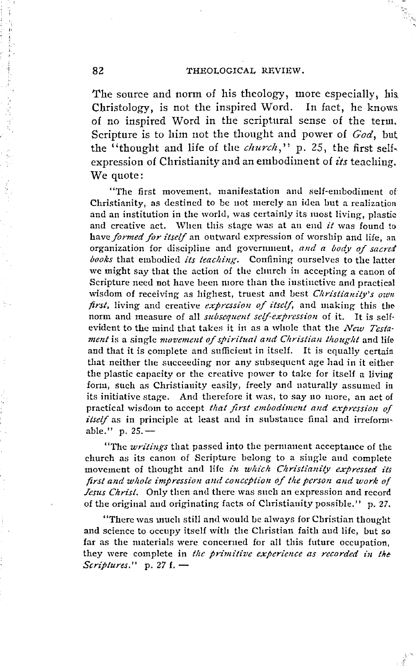#### THEOLOGICAL REVIEW.

The source and norm of his theology, more especially, his Christology, is not the inspired Word. In fact, he knows of no inspired Word in the scriptural sense of the term. Scripture is to him not the thought and power of God, but the "thought and life of the *church*," p. 25, the first selfexpression of Christianity and an embodiment of its teaching. We quote:

"The first movement, manifestation and self-embodiment of Christianity, as destined to be not merely an idea but a realization and an institution in the world, was certainly its most living, plastic and creative act. When this stage was at an end it was found to have formed for itself an outward expression of worship and life, an organization for discipline and government, and a body of sacred books that embodied its teaching. Confining ourselves to the latter we might say that the action of the church in accepting a canon of Scripture need not have been more than the instinctive and practical wisdom of receiving as highest, truest and best Christianity's own first, living and creative expression of itself, and making this the norm and measure of all subsequent self-expression of it. It is selfevident to the mind that takes it in as a whole that the New Testament is a single movement of spiritual and Christian thought and life and that it is complete and sufficient in itself. It is equally certain that neither the succeeding nor any subsequent age had in it either the plastic capacity or the creative power to take for itself a living form, such as Christianity easily, freely and naturally assumed in its initiative stage. And therefore it was, to say no more, an act of practical wisdom to accept that first embodiment and expression of *itself* as in principle at least and in substance final and irreformable." p. 25.-

"The *writings* that passed into the permanent acceptance of the church as its canon of Scripture belong to a single and complete movement of thought and life in which Christianity expressed its first and whole impression and conception of the person and work of Jesus Christ. Only then and there was such an expression and record of the original and originating facts of Christianity possible." p. 27,

"There was much still and would be always for Christian thought and science to occupy itself with the Christian faith and life, but so far as the materials were concerned for all this future occupation, they were complete in the primitive experience as recorded in the Scriptures."  $p. 27 f.$  –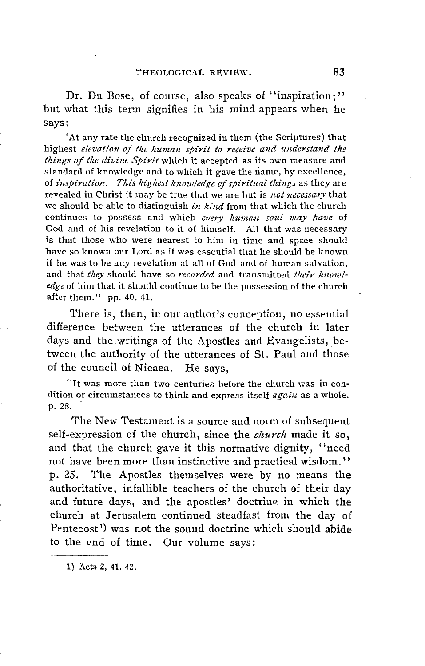Dr. Du Bose, of course, also speaks of "inspiration;" but what this term signifies in his mind appears when he says:

"At any rate the ehurch reeognized in them (the Seriptures) that highest *elevation of tlie human spirit to receive and undcrstand the things of tlie divine Spirit* which it aecepted as its own measure and standard of knowledge and to which it gave the name, by excellence, of *inspiration. This highest knowledge of spiritual things* as they are revealed in Christ it 1nay be true that we are but is *not necessary* that we should be able to distinguish *in kind* from that whieh the ehurch continues· to possess and which *every human soul may /lave* of God and of his revelation to it of himself. All that was necessary is that those who were nearest to him in time and space should have so known our Lord as it was essential that he sbould be known if he was tobe any revelation at all of God and of human Salvation, and that *they* should have so *recorded* and transmitted *their knowledge* of him tbat it should continue tobe the possession of the church after them." pp. 40. 41.

There is, then, in our author's conception, no essential difference between the utterances of the church in later days and the writings of the Apostles and Evangelists, between the authority of the utterances of St. Paul and those of the council of Nicaea. He says,

"lt was more than two centuries before the church was in condition or circumstances to think and express itself *again* as a whole.<br>p. 28.

The New Testament is a source and norm of subsequent self-expression of the church, since the *church* made it so, and that the church gave it this normative dignity, "need not have been more than instinctive and practical wisdom." p. 25. The Apostles themselves were by no means the authoritative, infallible teachers of the church of their day and future days, and the apostles' doctrine in which the church at Jerusalem continued steadfast from the day of Pentecost 1 ) was not the sound doctrine which should abide to the end of time. Our volume says:

1) Acts 2, 41. 42.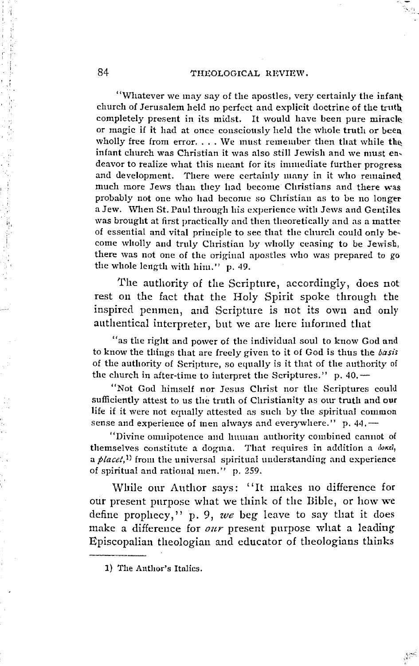#### 84 THEOLOGICAL REVIEW.

"Whatever we may say of the apostles, very certainly the infant: church of Jerusalem held no perfect and explicit doctrine of the truth\_ completely present in its midst. It would have been pure miracle or magic if it had at once consciously held the whole truth or been wholly free from error. . . . We must remember then that while the infant church was Christian it was also still Jewish and we must endeavor to realize what this meant for its immediate further progress. and development. There were certainly many in it who remained much more Jews than they had become Christians and there was probably not one who had become so Christian as to be no longer a Jew. When St. Paul through his experience with Jews and Gentiles. was brought at first practically and then theoretically and as a matter of essential and vital principle to see that the clmrch could only be~ come wholly and truly Christian by wholly ceasing to be Jewish, there was not one of the original apostles who was prepared to go the whole length witb him." p. 49.

The authority of the Scripture, accordingly, does not rest on the fact that the Holy Spirit spoke through the inspired penmen, and Scripture is not its own and only autbentical interpreter, bnt we are here informed that

"as the right and power of the individual soul to know God and to know the things that are freely given to it of God is thus the *basis* of the authority of Scripture, so equally is it timt of the anthority of the church in after-time to interpret the Scriptures."  $p. 40.$ 

"Not God himself nor Jesus Christ nor the Scriptures could sufficiently attest to us the truth of Christianity as our truth and our life if it were not equally attested as such by the spiritual common sense and experience of men always and everywhere."  $p. 44$ .

"Divine omuipotence a11d human authority combined canuot of themselves constitute a dogma. That requires in addition a  $\delta$ okei, a *placet*,<sup>1)</sup> from the universal spiritual understanding and experience of spiritual and rational men." p. 259.

While our Author says: "It makes no difference for our present purpose what we think of the Bible, or how we define prophecy," p. 9, *we* beg leave to say that it does make a difference for *our* present purpose what a leading Episcopalian theologian and educator of theologians thinks

<sup>1)</sup> The Author's Italics.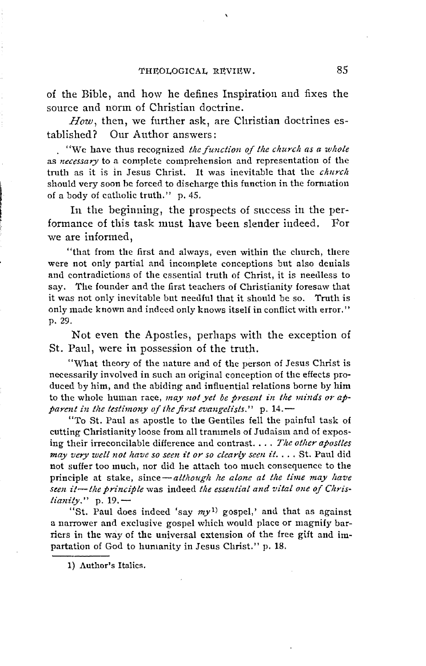of the Bible, and how he defines Inspiration and fixes the source and norm of Christian doctrine.

*How,* then, we further ask, are Christian doctrines established? Our Author answers:

. "We have thus recognized *the function of the clmrclt as a wlwle*  as *necessary* to a complete comprehension and representation of the truth as it is in Jesus Christ. It was inevitable that the *church* should very soon be forced to discharge this function in the formation of a body of catholic truth." p. 45.

In the beghming, the prospects of snccess in the performance of this task must have been slender indeed. For we are informed,

"that from the first and always, even within the church, there were not only partial and incomplete conceptions but also denials and contradictions of the essential truth of Christ, it is needless to say. The founder and the first teachers of Christianity foresaw that it was not only inevitable but needful that it should be so. Truth is only made known and indeed only knows itself in conflict with error." p. 29.

Not even the Apostles, perhaps with the exception of St. Paul, were in possession of the truth.

"What theory of the nature and of the person of Jesus Christ is necessarily involved in such an original conception of the effects produced by him, and the abiding and influential relations borne by him to the whole human race, *may not yet be present in the minds or apparent in the testimony of the first evangelists.*" p. 14. -

"To St. Paul as apostle to the Gentiles fell the painful task of cutting Christianity loose from all tranunels of Judaism and of exposing their irreconcilable difference and contrast. . . . *The other apostles may very wett not llave so seen it or so clearly seen it .* ... St. Paul did not suffer too much, nor did he attach too much consequence to the principle at stake, since-although he alone at the time may have seen it-the principle was indeed the essential and vital one of Chris*tianity.*" p. 19.-

"St. Paul does indeed 'say  $my<sup>1</sup>$  gospel,' and that as against a narrower and exclusive gospel which would place or magnify barriers in the way of the universal extension of the free gift and impartation of God to humanity in Jesus Christ." p. 18.

1) Author's Italics.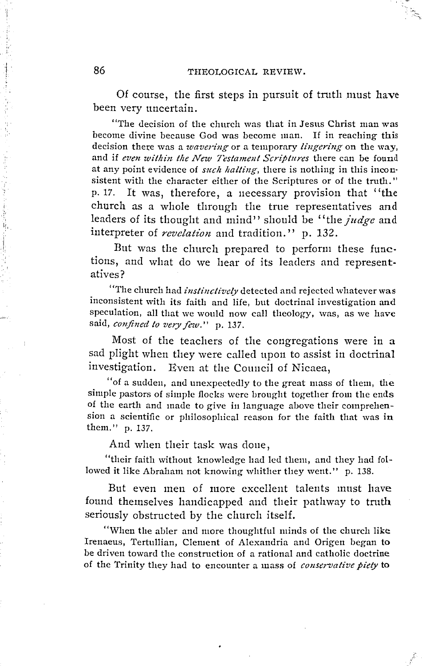Of course, the first steps in pursuit of truth must have been very uncertain.

"The decision of the church was that in Jesus Christ man was become divine because God was become man. If in reaching this decision there was a *wavering* or a temporary *lingering* on the way, and if *even within the New Testament Scriptures* there can be found at any point evidence of *such halting*, there is nothing in this inconsistent with the character either of the Scriptures or of the truth." p. 17. lt was, therefore, a necessary provision that ''the church as a whole through the trne representatives and leaders of its thought and mind" should be "the *judge* and interpreter of *revelation* and tradition. '' p. 132.

But was the church prepared to perform these functions, and what do we hear of its leaders and representatives?

"The church had *instinctively* detectecl and rejectecl whatever was inconsistent with its faith and life, but doctrinal investigation and speculation, all that we would now call theology, was, as we have said, *confined to very few.*" p. 137.

Most of the teachers of the congregations were in a sad plight when they were called upon to assist in doctrinal investigation. Even at the Conncil of Nicaea,

"of a sudden, and unexpectedly to the great mass of them, the simple pastors of simple flocks werc brought together from the ends of the earth and made to give in language above their comprehension a scientific or philosophical reason for the faith that was in them." p. 137.

And when their task was done,

"their faith without knowleclge had lcd them, and they had followed it like Abraham not knowing whither they went." p. 138.

But even men of more excellent talents must have found themselves handicapped and their pathway to truth seriously obstructed by the church itself.

"When the abler and more thoughtful minds of the church like Irenaeus, Tertullian, Clement of Alexandria and Origen began to be driven toward the construction of a rational and catholic doctrine of the Trinity they had to encounter a mass of *conservative piety* to

i

international control of the control of the control of the control of the control of the control of the control of the control of the control of the control of the control of the control of the control of the control of th

·!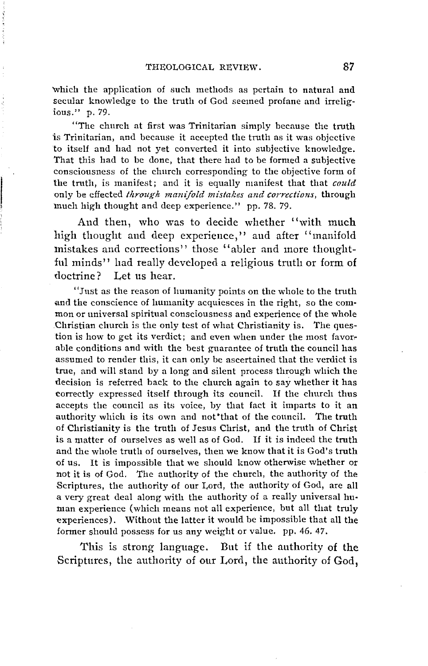'Which the application of such methods as pertain to natural and secular knowledge to the truth of God seemed profane and irreligious." p. 79.

"The church at first was Trinitarian simply because the truth is Trinitarian, and because it accepted the truth as it was objective to itself and had not yet converted it into subjective knowledge. That this had to be done, that there had to be formed a subjective consciousness of the church corresponding to the objective form of the truth, is manifest; and it is equally manifest that that *could* only be effected *through manifold mistakes and corrections*, through much high thought and deep experience." pp. 78. 79.

And then, who was to decide whether ''with much high thought and deep experience,'' and after '' manifold mistakes and corrections" those "abler and more thoughtful minds'' had really developed a religious truth or form of doctrine? Let us hear.

"Just as the reason of humanity points on the whole to the truth and the conscience of lumanity acquiesces in the right, so the common or universal spiritual consciousness and experience of the whole Christian church is the only test of what Christianity is. The question is how to get its verdict; and even when under the most favor· able conditions and with the best guarantee of truth the council has assumed to render this, it can only be ascertained that the verdict is true, and will stand by a long and silent process through which the decision is referred back to the church again to say whether it has correctly expressed itself through its council. If the church thus accepts the council as its voice, by that fact it imparts to it an authority which is its own and not'that of the council. The truth of Christianity is the truth of Jesus Christ, and the tmth of Christ is a matter of ourselves as well as of God. If it is indeed the truth and the whole truth of ourselves, then we know that it is God's truth of us. lt is impossible that we should know othenvise whether or not it is of God. The authority of the church, the authority of the Scriptures, the authority of our Lord, the authority of God, are all a very great deal along with the authority of a really universal hu• man experience (which means not all experience, but all that truly experiences). Without the latter it would be impossible that all the former should possess for us any weight or value. pp. 46. 47.

This is strong language. But if the authority of the Scriptures, the authority of our Lord, the authority of God,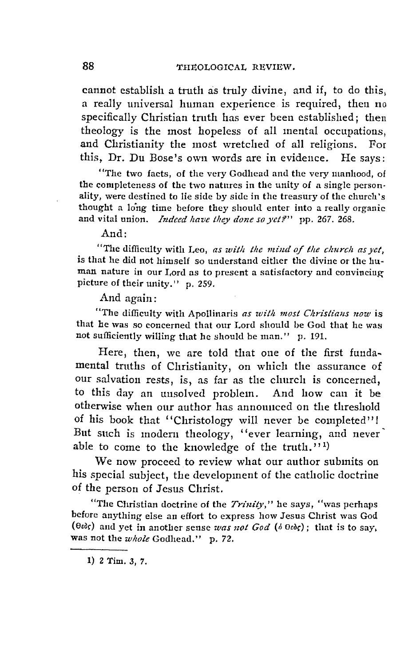cannot establish a truth as truly divine, and if, to do this, a really universal human experience is required, then no specifically Christian truth has ever been established: then theology is the most hopeless of all mental occupations, and Christianity the most wretched of all religions. For this, Dr. Du Bose's own words are in evidence. He says:

"The two facts, of the very Godhead and the very manhood, of the completeness of the two natures in the unity of a single personality, were destined to lie side by side in the treasury of the church 's thought a long time before they should enter into a really organic and vital union. *Indeed have they done so yet?*" pp. 267, 268.

And:

"The difficulty with Leo, *as wit/1 the mind of the clmrcli asyet,*  is that he did not himself so understand either the divine or the human nature in our I,ord as to present a satisfactory and convincing picture of their unity." p. 259.

And again:

"The difficulty with Apollinaris *as with most Christians now* is that he was so concerned that our Lord should be God that he was not sufficiently willing that he should be man." p. 191.

Here, then, we are told that one of the first funda~ mental trnths of Christianity, on which the assurance of our salvation rests, is, as far as the church is concerned, to this day an uusolved problem. And how can it be otherwise when our author has announced on the threshold of his book that "Christology will never be completed"! But such is modern theology, "ever learning, and never' able to come to the knowledge of the truth."1)

We now proceed to review what our author submits on his special subject, the development of the catholic doctrine of the person of Jesus Christ.

"Tbc Christian doctrine of the *Trinily,"* he says, "was perhaps before anything else an effort to express how Jesus Christ was God ( $\theta$ *edc*) and yet in another sense was not God ( $\delta$   $\theta$ *edc*); that is to say, was not the *whole* Godhead." p. 72.

l) 2 Tim. 3, *7.*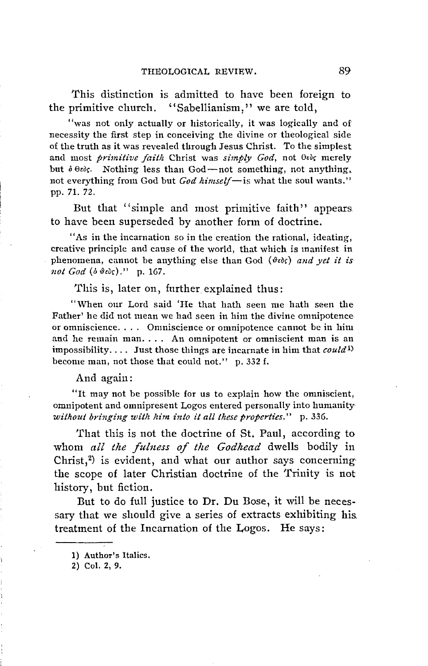This distinction is admitted to have been foreign to the primitive church. "Sabellianism," we are told,

"was not only actually or historically, it was logically and of necessity the first step in conceiving the divine or theological side of the truth as it was revealecl through Jesus Christ. To the simplest and most *primitive faith* Christ was *simply God*, not  $\theta$ εδς merely but  $\delta \theta \partial \zeta$ . Nothing less than God-not something, not anything, not everything from God but *God himself-is* what the soul wants." pp. 71. 72.

But that "simple and most primitive faith" appears. to have been superseded by another form of doctrine.

"As in the incarnation so in the creation the rational, ideating, creative principle and cause of the world, that which is manifest in phenomena, cannot be anything eise than God (~eo,) *and yet* it *is not God* (o *~eo,)."* p. 167.

This is, later on, further explained thus:

"When our Lord said 'He that hath seen me hath seen the Father' he did not mean we had seen in him the divine omnipotence or omniscience. . . . Onmiscience or omnipotence cannot be in him and he remain man. . . . An omnipotent or onmiscient man is an impossibility.... Just those things are incarnate in him that *could*<sup>1)</sup> become man, not those that could not." p. 332 f.

And again:

"lt may not be possible for us to explain how the omniscient, omnipotent and omnipresent Logos entered personally into humanity*without bringing with him into it all these properties."* p. 336.

'fhat this is not the doctrine of St. Paul, according to whom all the fulness of the Godhead dwells bodily in Christ, $2$ ) is evident, and what our author says concerning the scope of later Christian doctrine of the Trinity is not history, but fiction.

But to do full justice to Dr. Du Bose, it will be necessary that we should give a series of extracts exhibiting his. treatment of the Incarnation of the Logos. He says:

<sup>1)</sup> Author's ltalics.

<sup>2)</sup> Col. 2, 9.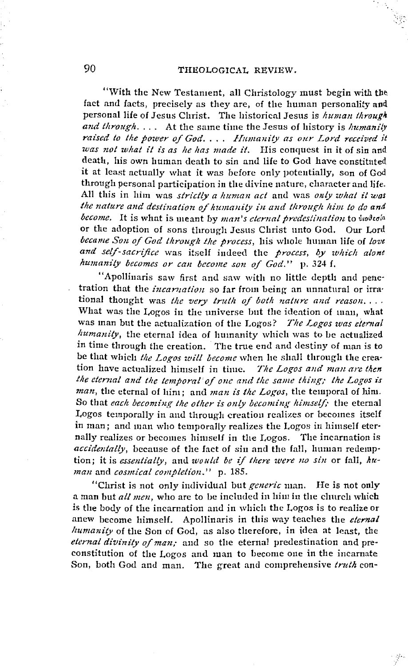"With the New Testament, all Christology must begin with the fact and facts, precisely as they are, of the human personality and personal life of Jesus Christ. The historical Jesus is human through and through.... At the same time the Jesus of history is humanily raised to the power of God.... Humanity as our Lord received it was not what it is as he has made it. His conquest in it of sin and death, his own human death to sin and life to God have constituted it at least actually what it was before only potentially, son of God through personal participation in the divine nature, character and life. All this in him was strictly a human act and was only what it was the nature and destination of humanity in and through him to do and become. It is what is meant by man's eternal predestination to burbeda or the adoption of sons through Jesus Christ unto God. Our Lord became Son of God through the process, his whole human life of love and self-sacrifice was itself indeed the process, by which alone humanity becomes or can become son of God." p. 324 f.

"Apollinaris saw first and saw with no little depth and penetration that the *incarnation* so far from being an unnatural or irrational thought was the very truth of both nature and reason.... What was the Logos in the universe but the ideation of man, what was man but the actualization of the Logos? The Logos was elernal humanity, the eternal idea of humanity which was to be actualized in time through the creation. The true end and destiny of man is to be that which the Logos will become when he shall through the creation have actualized himself in time. The Lovos and man are then the eternal and the temporal of one and the same thing; the Logos is man, the eternal of him; and man is the Logos, the temporal of him. So that each becoming the other is only becoming himself; the eternal Logos temporally in and through creation realizes or becomes itself in man; and man who temporally realizes the Logos in himself eternally realizes or becomes himself in the Logos. The incarnation is accidentally, because of the fact of sin and the fall, human redemption; it is essentially, and would be if there were no sin or fall, human and cosmical completion." p. 185.

"Christ is not only individual but generic man. He is not only a man but all men, who are to be included in him in the church which is the body of the incarnation and in which the Logos is to realize or anew become himself. Apollinaris in this way teaches the eternal humanity of the Son of God, as also therefore, in idea at least, the eternal divinity of man; and so the eternal predestination and preconstitution of the Logos and man to become one in the incarnate Son, both God and man. The great and comprehensive truth con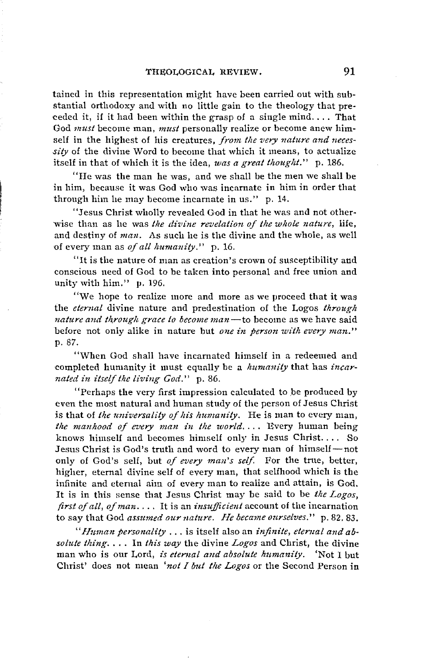tained in this representation might have been carried out with substantial orthodoxy and with no little gain to the theology that preceded it, if it had been within the grasp of a single mind.... That God *must* become man, *must* personally realize or become anew himself in the highest of his creatures, *from the very nature and neces*sity of the divine Word to become that which it means, to actualize itself in that of which it is the idea, was a great thought." p. 186.

"He was the man he was, and we shall be the men we shall be in him, because it was God who was incarnate in him in order that through him he may become incarnate in us." p. 14.

"Jesus Christ wholly revealed God in that he was and not otherwise than as he was *the divine revelation of the whole nature*, life, and destiny of *man.* As such he is the divine and the whole, as well of every man as *of all kumanity."* p. 16.

"lt is the nature of man as creation' s crown of suseeptibility and conscious need of God to be taken into personal and free union and unity with him." p. 196.

"We hope to realize more and more as we proceed that it was the *eternal* divine nature and predestination of the Logos *through nature and through grace to become man*—to become as we have said before not only alike in nature but *one in person with every man.*" p. 87.

"When God shall have incamated himself in a redeemed and completed humanity it must equally be a *lmmanity* that has *incarnated in itseif the living God.''* p. 86.

"Perhaps the very first impression calculated to ,be produced by even the most natural and human study of the person of Jesus Christ is that of *the universality of his humanity*. He is man to every man, the manhood of every man in the world.... Every human being knows himself and becomes himself only in Jesus Christ. . . . So Jesus Christ is God's truth and word to every man of himself-not only of God's self, but *of every man's seif.* For the tme, better, higher, eternal divine self of every man, that selfhood which is the infinite and eternal aim of every man to realize and attain, is God. lt is in this sense that Jesus Christ may be said to be *the Logos, first of all, of man .* ... lt is an *insujficient* account of the incarnation to say that God *assumed our nature. He became ourselves."* p. 82. 83.

*"lhtman personality* ... is itself also an *infinite, etenial and ab· solute thing.* . . . In *this way* the divine *Logos* and Christ, the divine man who is our Lord, *is etenial and absolute humanity.* 'Not I but Christ' does not mean 'not I but the Logos or the Second Person in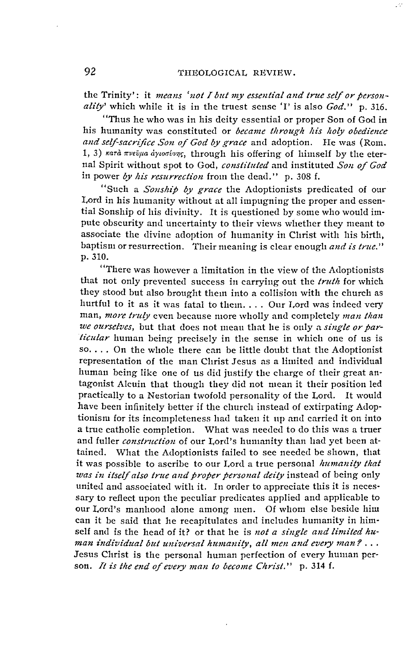the Trinity': it means 'not I but my essential and true self or personality' which while it is in the truest sense 'I' is also God." p. 316.

"Thus he who was in his deity essential or proper Son of God in his humanity was constituted or became through his holy obedience and self-sacrifice Son of God by grace and adoption. He was (Rom. 1, 3) κατά πνεύμα άγιοσύνης, through his offering of himself by the eternal Spirit without spot to God, constituted and instituted Son of God in power by his resurrection from the dead." p. 308 f.

"Such a *Sonship by grace* the Adoptionists predicated of our Lord in his humanity without at all impugning the proper and essential Sonship of his divinity. It is questioned by some who would impute obscurity and uncertainty to their views whether they meant to associate the divine adoption of humanity in Christ with his birth. baptism or resurrection. Their meaning is clear enough and is true." p. 310.

"There was however a limitation in the view of the Adoptionists that not only prevented success in carrying out the truth for which they stood but also brought them into a collision with the church as hurtful to it as it was fatal to them.... Our Lord was indeed very man, more truly even because more wholly and completely man than we ourselves, but that does not mean that he is only a single or par*ticular* human being precisely in the sense in which one of us is so.... On the whole there can be little doubt that the Adoptionist representation of the man Christ Jesus as a limited and individual human being like one of us did justify the charge of their great antagonist Alcuin that though they did not mean it their position led practically to a Nestorian twofold personality of the Lord. It would have been infinitely better if the church instead of extirpating Adoptionism for its incompleteness had taken it up and carried it on into a true catholic completion. What was needed to do this was a truer and fuller construction of our Lord's humanity than had yet been attained. What the Adoptionists failed to see needed be shown, that it was possible to ascribe to our Lord a true personal humanity that was in itself also true and proper personal deity instead of being only united and associated with it. In order to appreciate this it is necessary to reflect upon the peculiar predicates applied and applicable to our Lord's manhood alone among men. Of whom else beside him can it be said that he recapitulates and includes humanity in himself and is the head of it? or that he is not a single and limited human individual but universal humanity, all men and every man?... Jesus Christ is the personal human perfection of every human person. It is the end of every man to become Christ." p. 314 f.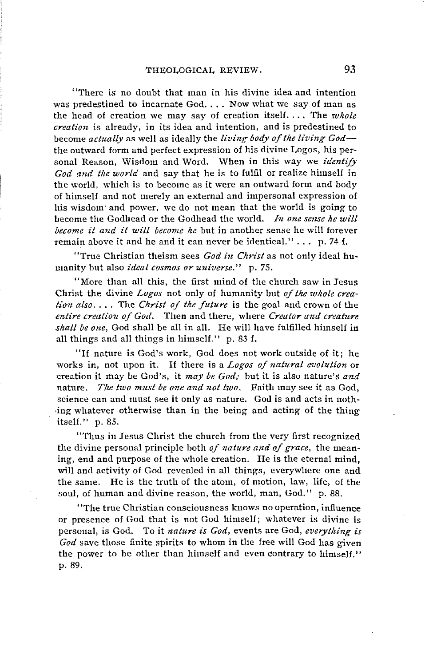"There is no doubt that man in his divine idea and intention was predestined to incarnate  $God. \ldots$  Now what we say of man as the head of creation we may say of creation itself.... The *whole creation* is already, in its idea and intention, and is predestined to become *actually* as well as ideally the *living body of the living God* the outward form and perfect expression of his divine Logos, his personal Reason, Wisdom and Word. When in this way we *identify* God and the world and say that he is to fulfil or realize himself in the world, which is to become as it were an outward form and body of himself and not merely an external and impersonal expression of his wisdom· and power, we do not mean that the world is going to become the Godhead or the Godhead the world. *In one sense he will become it and it will become he* but in another sense he will forever remain above it and he and it can never be identical." ... p. 74 f.

"True Christian theism sees *God in Christ* as not only ideal humanity but also *ideal cosmos or universe."* p. 75.

"More than all this, the first mind of the church saw in Jesus Christ the divine *Logos* not only of humanity but *of the whole creation also .* ... The *Christ of the future* is the goal and crown of the *entire creation of God.* Then and there, where *Creator and creature skall be one,* God shall be all in all. He will have fulfilled himself in all things and all things in himself.'' p. 83 f.

"If nature is God's work, God does not work outside of it; he works in, not upon it. If there is a *Logos of natural evolution* or creation it may be God's, it *may be God;* but it is also nature's *and*  nature. *The two must be one and not two.* Faith may see it as God, science can and must see it only as nature. God is and acts in noth- ·ing whatever otherwise than in the being and acting of the thing itself." p. 85.

"Tlms in Jesus Christ the church from the very first recognized the divine personal principle both *of nature and of grace,* the meaning, end and purpose of the whole creation. He is the eternal mind, will and activity of God revealed in all things, everywhere one and the same. He is the truth of the atom, of motion, law, life, of the soul, of human and divine reason, the world, man, God." p. 88.

"The true Christian consciousness k11ows no operation, infiuence or presence of God that is not God himself; whatever is divine is personal, is God. To it *nature is God,* events are God, *everytliing is*  God save those finite spirits to whom in the free will God has given the power to be other than himself and even contrary to himself." p. 89.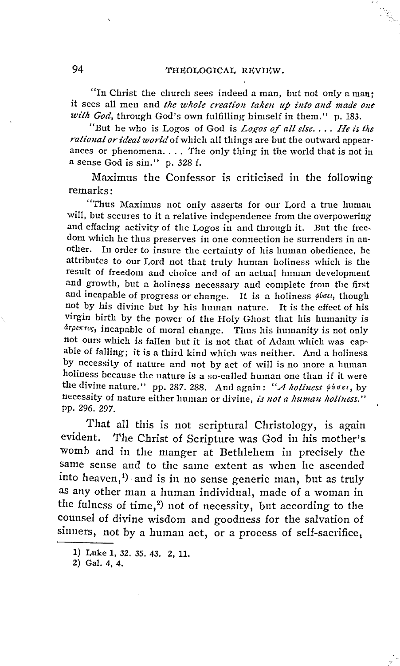"In Christ the church sees indeed a man, but not only a man; it Sees all men and *tlze wlzole creation taken up into and made one*  with God, through God's own fulfilling himself in them." p. 183.

"But he who is Logos of Gocl is *Logos of all else .* ... *He is the rational or ideal world* of which all things are but the outward appear· ances or phenomena.... The only thing in the world that is not in a sense God is sin." p. 328 f.

Maximus the Confessor is criticised in the following remarks:

"Thus Maximus not only asserts for our Lord a true human will, but secures to it a relative independence from the overpowering and effacing activity of the Logos in and through it. But the freedom which he thus preserves in one connection he surrenders in another. In order to insure the certainty of his human obedience, he attributes to our Lord not that truly human holiness which is the result of freedom and choice and of an actual human developmeut and growth, but a holiness necessary and complete from the first and incapable of progress or change. It is a holiness  $\phi$ ioet, though not by his divine but by his human nature. It is the effect of his virgin birth by the power of the Holy Ghost that his humanity is  $d$ <sup>rpeπror, incapable of moral change. Thus his humanity is not only</sup> not ours which is fallen but it is not that of Adam which was capable of falling; it is a third kind which was neither. And a holiness by necessity of nature and not by act of will is no more a human holiness because the nature is a so-called human one than if it were the divine nature." pp. 287. 288. And again: "A holiness  $\phi$ hoen, by necessity of nature either human or divine, *is not a human holiness.*" pp, 296. 297.

That all this is not scriptural Christology, is again evident. The Christ of Scripture was God in his mother's womb and in the manger at Bethlehem in precisely the same sense and to the same extent as when he ascended into heaven,<sup>1</sup>) and is in no sense generic man, but as truly as any other man a human individual, made of a woman in the fulness of time,<sup>2</sup>) not of necessity, but according to the counsel of divine wisdom and goodness for the salvation of sinners, not by a human act, or a process of self-sacrifice,

<sup>1)</sup> Luke 1, 32. 35, 43. 2, 11.

<sup>2)</sup> Gal. 4, 4.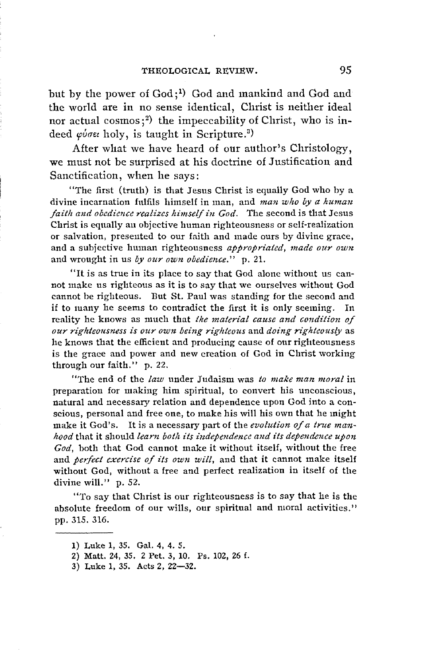but by the power of God;<sup>1</sup>) God and mankind and God and the world are in no sense identical, Christ is neither ideal nor actual cosmos;<sup>2</sup>) the impeccability of Christ, who is indeed  $\varphi$ ύσει holy, is taught in Scripture.<sup>3)</sup>

After what we have heard of our author's Christology, we must not be surprised at his doctrine of Justification and Sanctification, when he says:

"The first (truth) is that Jesus Christ is equally God who by a divine incarnation fulfils himself in man, and *man who by a human faith and obedience realizes himseif in God.* The second is that Jesus Christ is equally an objective human righteousness or self·realization or salvation, preseuted to our faith and made ours by divine grace, and a subjective human righteousness *appropriated, made our own*  and wrought in us *by our own obedience."* p. 21.

"lt is as true in its place to say that God alone without us can· not make us righteous as it is to say that we ourselves without God cannot be righteous. But St. Paul was standing for the second and if to many he seems to contradict the first it is only seeming. In reality he knows as much that *the material cause and condition of our rigliteousness is our own being rlgltteous* and *doing rlghteously* as he knows that the efficient and producing cause of our righteousness is the grace and power and new creation of God in Christ working through our faith." p. 22.

"The end of the *law* under Judaism was *to make rnan moral* in preparation for making him spiritual, to convert his unconscious, natural and necessary relation and dependence upon God into a con· scious, personal and free one, to make his will his own that he might make it God's. lt is a necessary part of the *evolution of a true manhood* tlmt it should *learn botli its independence and its dependence upon God,* both that God cannot make it without itself, without the free and *perfect exercise of its own will,* and that it eannot make itself without God, without a free and perfeet realization in itself of the divine will." p. 52.

"To say that Christ is our righteousness is to say that he is the absolute freedom of our wills, our spiritual and moral activities." pp. 315. 316.

<sup>1)</sup> Luke 1, 35. Gal. 4, 4. 5.

<sup>2)</sup> Matt. 24, 35. 2 Pet. 3, 10. Ps. 102, 26 f.

<sup>3)</sup> Luke 1, 35. Acts 2, 22-32.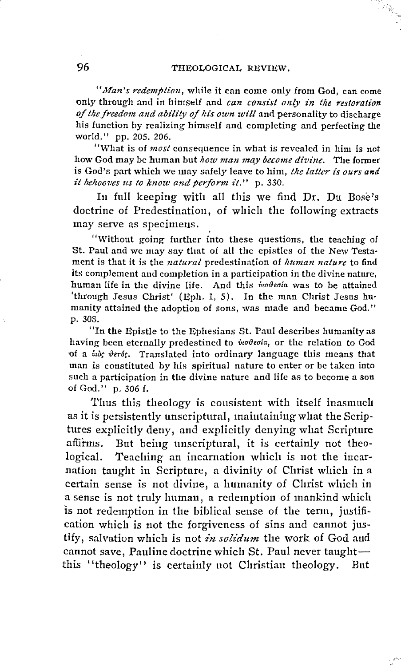# 96 THEOLOGICAL REVIEW.

*"Man's redemption,* while it can come only from God, can come only through and in himself and *can consist only in the restoration of the freedom and ability of ltis own will* and personality to discharge bis function by realizing himself and completing and perfecting the world." pp. 205. 206.

"What is of *most* consequence in what is revealed in him is not how God may be human but *how man may become divine*. The former is God's part which we may safely leave to him, *the latter is ours and it behooves us to know and perform it.*" p. 330.

In full keeping with all this we find Dr. Du Bose's doctrine of Predestinatiou, of which the following extracts may serve as specimens.

"Without going further into these questions, the teaching of St. Paul and we may say tliat of all the epistles of the New Testa· ment is that it is the *natural* predestination of *lumzan nature* to find its complement and completion in a participation in the divine nature, human life in the divine life. And this *inoteria* was to be attained 'through Jesus Christ' (Eph. 1, 5). In the man Christ Jesus humanity attained the adoption of sons, was made and became God." p. 308.

"In the Epistle to the Ephesians St. Paul describes humanity as having been eternally predestined to *vooteda*, or the relation to God of a *vids* verds. Translated into ordinary language this means that man is constituted by his spiritual nature to enter or be taken into such a participation in the divine nature and life as to become a son of God." p. 306 f.

Thus this theology is consistent with itself inasmuch as it is persistently unscriptural, maintaining what the Scriptures explicitly deny, and explicitly denying what Scripture affirms. But being unscriptural, it is certainly not theological. Teaching an incarnation which is not the incarnation taught in Scripture, a divinity of Christ which in a certain sense is not divine, a humanity of Christ which in a sense is not tmly human, a redemption of mankind which is not redemption in the biblical sense of the term, justification which is not the forgiveness of sins and cannot justify, salvation which is not in solidum the work of God and cannot save, Pauline doctrine which St. Paul never taughtthis "theology" is certainly not Christian theology. But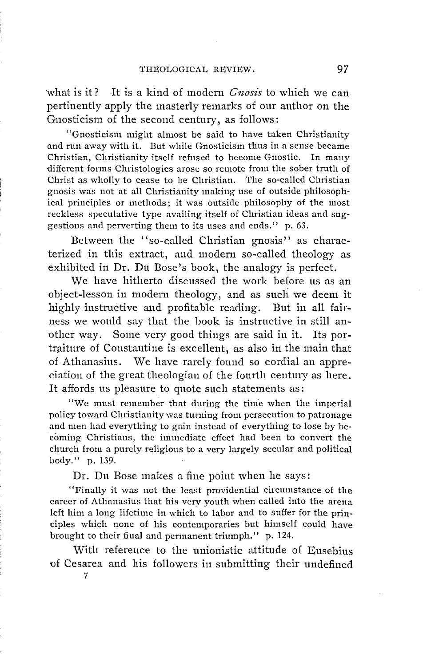'what is it? It is a kind of modern *Gnosis* to which we can pertinently apply the masterly remarks of onr author on the Gnosticism of the second century, as follows:

"Gnosticism might almost be said to have taken Christianity and run away with it. But while Gnosticism thus in a sense became Christian, Christianity itself refused to become Gnostic. In mauy -different forms Christologies arose so remote from the sober truth of Christ as wholly to cease to be Christian. The so-called Christian gnosis was not at all Christianity making use of outside philosophical principles or methods; it was outside philosophy of the most reckless speculative type availing itself of Christian ideas and suggestions and perverting them to its uses and ends." p. 63.

Between the "so-called Christian gnosis" as characterized in this extract, and modern so-called theology as exhibited in Dr. Du Bose's book, the analogy is perfect.

We have hitherto discussed the work before us as an object-lesson in modern theology, and as snch we deem it highly instructive and profitable reading. But in all fairness we would say that the book is instructive in still another way. Some very good things are said in it. Its portraiture of Constantine is excellent, as also in the main that of Athanasius. We have rarely found so cordial an appreciation of the great theologian of the fourth century as here. It affords us pleasure to quote such statements as:

"We must remember that during the time when the imperial policy toward Christianity was turning from persecution to patronage and men had everything to gain instead of everything to lose by becoming Christians, the immediate effect had been to convert the church from a purely religious to a very largely secular and political body." p. 139.

Dr. Du Bose makes a fine point when he says:

"Finally it was not the least providential circumstance of the career of Athanasius that his very youth when called into the arena left him a long lifetime in which to labor and to suffer for the principles which none of his contemporaries but himself could have brought to their final and permanent triumph." p. 124.

With reference to the unionistic attitude of Eusebius of Cesarea and his followers in snbmitting their undefined

7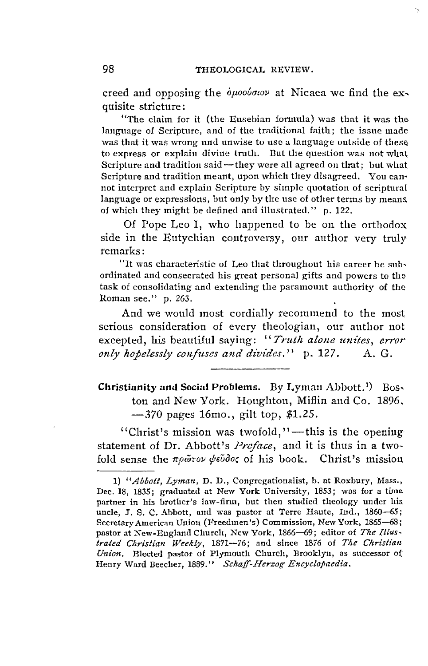creed and opposing the  $\phi \mu o \phi o \phi o \nu$  at Nicaea we find the exquisite stricture :

"The claim for it (the Eusebian formula) was that it was the language of Scripture, and of the traditional faith; the issue made was that it was wrong und unwise to use a language outside of these to express or explain divine truth. But the question was not what. Scripture and tradition said-they were all agreed on that; but what Scripture and tradition meant, upon which they disagreed. You can· not interpret and explain Scripture by simple quotation of scriptural language or expressions, but only by the use of other terms by means. of which they might be defined and illustrated." p. 122.

Of Pope Leo I, who happened to be on the orthodox side in the Eutychian coutroversy, our author very truly remarks:

"lt was characteristic of Leo that throughout his career he sub• ordinated and consecrated his great personal gifts and powers to the task of consolidating and extending the paramount authority of the Roman see." p. 263.

And we would most cordially recommend to the most serious consideration of every theologian, our author not excepted, his beautiful saying: "Truth alone unites, error *only hopelessly confuses and divides.*" p. 127. A. G.

**Christianity and Social Problems.** By Lyman Abbott.<sup>1</sup>) Bos. ton and New York. Houghton, Miflin and Co. 1896. -370 pages 16mo., gilt top, *\$1.25.* 

"Christ's mission was twofold,"—this is the opening statement of Dr. Abbott's *Preface,* and it is thus in a two· fold sense the πρώτον ψεύδος of his book. Christ's mission

<sup>1)</sup> *"Abbott, Lyman,* D. D., Congregationalist, b. at Roxbury, Mass., Dec. 18, 1835; graduated at New York University, 1853; was for a time partner in his brother's law-firm, but then studied theology under his. uncle, J. S. C. Abbott, and was pastor at Terre Haute, Ind., 1860-65; Secretary American Union (Freedmen's) Commission, New York, 1865-68; pastor at New-England Church, New York, 1866-69; editor of *The Illus*trated Christian Weekly, 1871--76; and since 1876 of The Christian *Union.* Elected pastor of Plymouth Church, Brooklyn, as successor o( Henry Ward Beecher, 1889." Schaff-Herzog Encyclopaedia.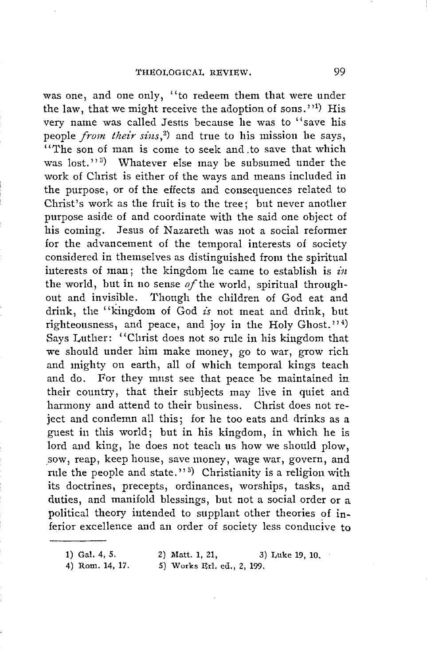was one, and one only, "to redeem them that were under the law, that we might receive the adoption of sons.''1) His very name was called Jesus because he was to '' save his people *from their sins*,<sup>2</sup>) and true to his mission he says, "The son of man is come to seek and to save that which was lost."<sup>3</sup>) Whatever else may be subsumed under the work of Christ is either of the ways and means included in the purpose, or of the effects and consequences related to Christ's work as the fruit is to the tree; but never another purpose aside of and coordinate with the said one object of his coming. Jesus of Nazareth was not a social reformer for the advancement of the temporal interests of society considered in themselves as distinguished from the spiritual iuterests of man; the kingdom he came to establish is *in*  the world, but in no sense *of* the world, spiritual throughout and invisible. Though the children of God eat and drink, the ''kingdom of God *is* not meat and drink, but righteousness, and peace, and joy in the Holy Ghost.'' $4$ ) Says Luther: "Christ does not so rule in his kingdom that we should under him make money, go to war, grow rich and mighty on earth, all of which temporal kings teach and do. For they must see that peace be maintained in their country, that their subjects may live in quiet and harmony and attend to their business. Christ does not reject and condemn all this; for he too eats and drinks as a guest in this world; but in his kingdom, in which he is lord and king, he does not teach us how we should plow, \_sow, reap, keep house, save money, wage war, govern, and rule the people and state."<sup>5</sup>) Christianity is a religion with its doctrines, precepts, ordinances, worships, tasks, and duties, and manifold blessings, but not a social order or a political theory iutended to supplant other theories of inferior excellence and an order of society less conducive to

- 
- 4) Rom. 14, 17. 5) Works Erl. ed., 2, 199,

<sup>1)</sup> Gal. 4, *5.* 2) Matt. 1, 21, 3) Luke 19, 10.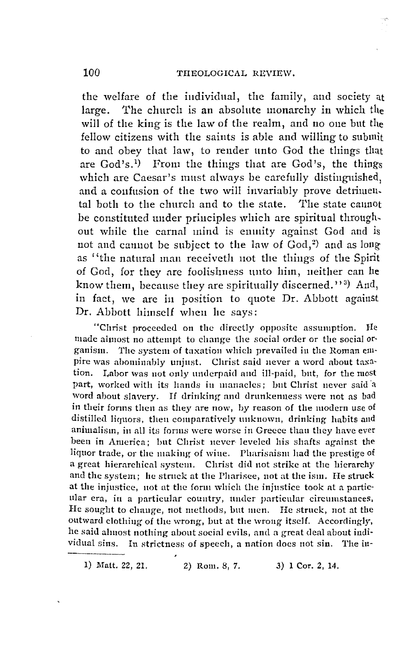the welfare of the individual, the family, and society at large. The church is an absolute monarchy in which the will of the king is the law of the realm, and no one but the fellow citizens with the saints is able and willing to submit to and obey that law, to render unto God the things that are God's.<sup>1</sup>) From the things that are God's, the things which are Caesar's must always be carefully distinguished, and a confusion of the two will invariably prove detrimental both to the church and to the state. The state cannot be constituted under principles which are spiritual throughout while the carnal mind is enmity against God and is not and cannot be subject to the law of God,<sup>2</sup>) and as long as "the natural man receiveth not the things of the Spirit of God, for they are foolishness unto him, neither can be know them, because they are spiritually discerned."<sup>3</sup>) And, in fact, we are in position to quote Dr. Abbott against Dr. Abbott himself when he says:

"Christ proceeded on the directly opposite assumption. He made almost no attempt to change the social order or the social organism. The system of taxation which prevailed in the Roman empire was abominably unjust. Christ said never a word about taxation. Labor was not only underpaid and ill-paid, but, for the most part, worked with its hands in manacles; but Christ never said a word about slavery. If drinking and drunkenness were not as bad in their forms then as they are now, by reason of the modern use of distilled liquors, then comparatively unknown, drinking habits and animalism, in all its forms were worse in Greece than they have ever been in America; but Christ never leveled his shafts against the liquor trade, or the making of wine. Pharisaism had the prestige of a great hierarchical system. Christ did not strike at the hierarchy and the system; he struck at the Pharisee, not at the ism. He struck at the injustice, not at the form which the injustice took at a particular era, in a particular country, under particular circumstances, He sought to change, not methods, but men. He struck, not at the outward clothing of the wrong, but at the wrong itself. Accordingly, he said almost nothing about social evils, and a great deal about individual sins. In strictness of speech, a nation does not sin. The in-

1) Matt. 22, 21. 2) Rom. 8, 7. 3) 1 Cor. 2, 14.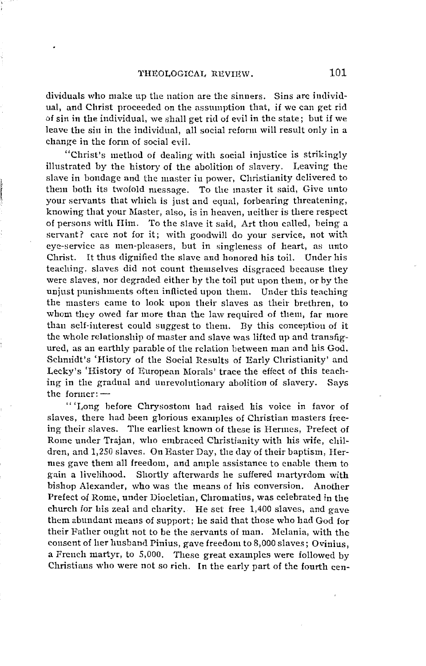dividuals who make up the nation are the sinners. Sins are individual, and Christ proceeded on the assumption that, if we can get rid of sin in the individual, we shall get rid of evil in the state; but if we leave the sin in the individual, all soeial refonn will result only in a change in the form of social evil.

"Christ's method of dealing with soeial injustice is strikingly illustrated by the history of the abolition of slavery. Leaving the slave in bondage and the master in power, Christianity delivered to them hoth its twofold message. To the master it said, Give unto your servants that whieh is just and equal, forbearing threatening, knowing that your Master, also, is in heaven, neither is there respect of persons with Him. To the slave it said, Art thou ealled, being a servant? eare not for it; with goodwill do your service, not with eye-servicc as men-pleasers, but in singleness of heart, as unto Christ. It thus dignified the slave and honored his toil. Under his teaching, slaves did not count themselves disgraced because they were slaves, nor degraded either by the toil put upon them, or by the unjust punishments often inflicted upon them. Under this teaching the masters came to look upon their slaves as their brethren, to whom they owed far more than the law required of them, far more than self-interest could suggest to them. By this conception of it the whole relationship of master and slave was lifted up and transfigured, as an earthly parable of the relation between man and bis God. Sehmidt's 'History of the Soeial Results of Early Christianity' and Lecky's 'History of European Morals' traee the effect of this teaching in the gradual and unrevolutionary abolition of slavery. Says the former: $-$ 

" 'Long before Chrysostom had raised his voice in favor of slaves, there had been glorious examples of Christian masters freeing their slaves. The earliest known of these is Hermes, Prefect of Rome under Trajan, who embraced Christianity with his wife, children, and 1,250 slaves. On Raster Day, the day of their baptism, Hermes gave them all freedom, and ample assistance to cnable them to gain a livelihood. Shortly afterwards he suffered martyrdom with bishop Alexander, who was the means of his conversion. Another Prefeet of Rome, under Diocletian, Chromatins, was celebrated in the church for his zeal and charity. He set free  $1,400$  slaves, and gave them abundant means of support; he said that those who had God for their Father ought not to be the servants of man. Melania, with the consent of her husband Pinius, gave freedom to 8,000 slaves; Ovinius, a French martyr, to 5,000. These great examples were followed by Christians who were not so rich. In the early part of the fourth cen-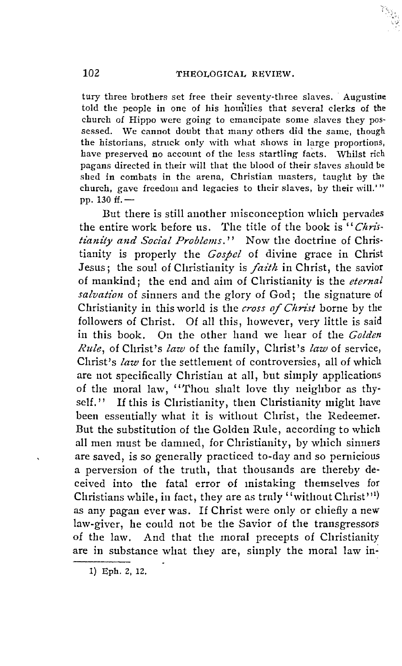tury three brothers set free their seventy-three slaves. Augustine told the people in one of his homilies that several clerks of the church of Hippo were going to emancipate some slaves they possessed. We cannot doubt that many others did the same, though the historians, struck only with what shows in large proportions, have preserved no account of the less startling facts. Whilst rich pagans directed in their will that the blood of their slaves should be shed in combats in the arena, Christian masters, taught by the church, gave freedom and legacies to their slaves, by their will.'" pp. 130 ff. -

But there is still another misconception which pervades the entire work before us. The title of the book is "Christianity and Social Problems." Now the doctrine of Christianity is properly the Gospel of divine grace in Christ Jesus; the soul of Cliristianity is *faith* in Christ, the savior of mankind; the end and aim of Christianity is the eternal salvation of sinners and the glory of God; the signature of Christianity in this world is the cross of Christ borne by the followers of Christ. Of all this, however, very little is said in this book. On the other hand we hear of the Golden Rule, of Clirist's law of the family, Clirist's law of service, Christ's law for the settlement of controversies, all of which are not specifically Christian at all, but simply applications of the moral law, "Thou shalt love thy neighbor as thy $self.$ " If this is Christianity, then Christianity might have been essentially what it is without Christ, the Redeemer. But the substitution of the Golden Rule, according to which all men must be damned, for Christianity, by which sinners are saved, is so generally practiced to-day and so pernicious a perversion of the truth, that thousands are thereby deceived into the fatal error of mistaking themselves for Christians while, in fact, they are as truly "without Christ"<sup>1)</sup> as any pagan ever was. If Christ were only or chiefly a new law-giver, he could not be the Savior of the transgressors of the law. And that the moral precepts of Christianity are in substance what they are, simply the moral law in-

<sup>1)</sup> Eph. 2, 12.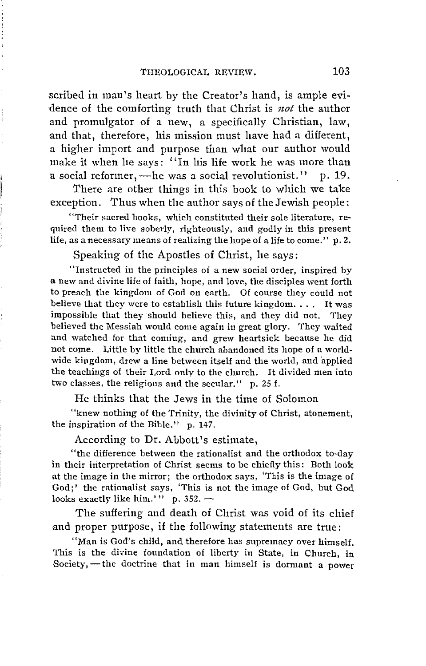scribed in man's heart by the Creator's hand, is ample evidence of the comforting truth tliat Christ is *not* the author and promulgator of a new, a specifically Christian, law, and that, therefore, his mission must have had a different, a higher import and purpose than what our author wonld make it when he says: "In his life work he was more than a social reformer, - he was a social revolutionist." p. 19.

There are other things in this book to which we take exception. Thus when the author says of the Jewish people:

"Their sacred books, which constituted their sole literature, required them to live soberly, righteously, and godly in this present life, as a necessary means of realizing the hope of a life to come." p. 2.

Speaking of the Apostles of Christ, he says:

"Instmcted in the principles of a new social order, inspired by a new and divine life of faith, hope, and love, the disciples went forth to preach the kingdom of God on earth. Of course they could not believe that they were to establish this future kingdom. . . . lt was impossible that they should believe this, and they did not. They believed the Messiah would come again in great glory. They waited and watched for that coming, and grew heartsick because he did not come. Little by little the church abandoned its hope of a worldwide kingdom, drew a line between itself and the world, and applied the teachings of their Lord only to the church. It divided men into two classes, the religious and the secular." p. 25 f.

He thinks that the Jews in the time of Solomon

"knew nothing of the Trinity, the divinity of Christ, atonement, the inspiration of the Bible." p. 147.

According to Dr. Abbott's estimate,

"the difference between the rationalist and the orthodox to-day in their iriterpretation of Christ seems to be chiefly this: Both look at the image in the mirror; the orthodox says, 'This is the image of God;' the rationalist says, 'This is not the image of God, but God looks exactly like him.'" p.  $352.$  -

The suffering and death of Christ was void of its chief and proper purpose, if the following statements are true:

"Man is God's child, and therefore has supremacy over himself. This is the divine foundation of liberty in State, in Church, in Society, - the doctrine that in man himself is dormant a power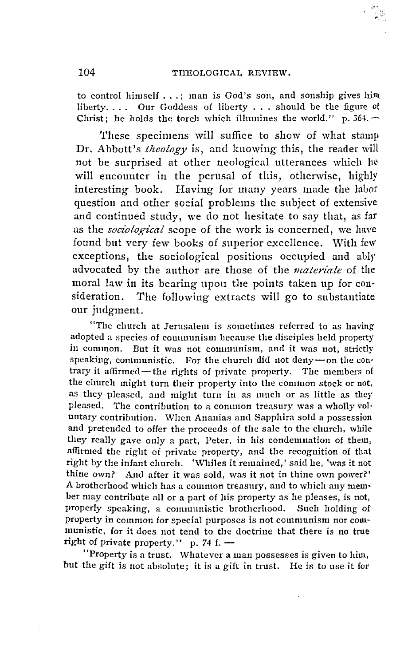to control himself  $\dots$ ; man is God's son, and sonship gives him liberty. . . . Our Goddess of liberty ... should be the figure ot Christ; he holds the torch which illumines the world." p. 364.  $\sim$ 

'I'hese specimens will suffice to show of what stamp Dr. Abbott's *theology* is, and knowing this, the reader will not be surprised at other neological utterances which he will encounter in the perusal of this, otherwise, highly interesting book. Having for many years made the labor questiou and other social problems the subject of extensive and continued study, we do not hesitate to say that, as far as the *sociological* scope of the work is concerned, we have found bnt very few books of superior excellence. With few exceptions, the sociological positions occupied and ably advocated by the anthor are those of the *materiale* of the moral law in its bearing upon the points taken up for consideration. The following extracts will go to substantiate our judgment.

"The church at Jerusalem is sometimes referred to as having adopted a species of communism because the disciples held property in common. But it was not communism, and it was not, strictly speaking, communistic. For the church did not deny-on the contrary it affirmed-the rights of private property. The members of the clmrch might turn their property into the common stock or not, as they pleased, and might turn in as much or as little as they pleased. The contribution to a conuuon treasury was a wholly vol· untary contribution. When Ananias and Sapphira sold a possession and pretended to offer the proceeds of the sale to the church, while they really gave only a part, Peter, in his condenmation of them, affirmed the right of private property, and the recognition of that right by the infant church. 'Whiles it remained,' said he, 'was **it** not thine own? And after it was sold, was it not in thine own power?' **A** brotherhood which has a common treasury, and to which any mem• ber may contribute all or a part of his property as he pleases, is not, properly speaking, a communistic brotherhood. Such holding of property in common for special purposes is not communism nor communistic, for it does not tend to the doctrine that there is no true right of private property." p. 74 f.  $-$ 

"Property is a trust. Whatever a man possesses is given to him, but the gift is not absolute; it is a gift in trust. He is to use it for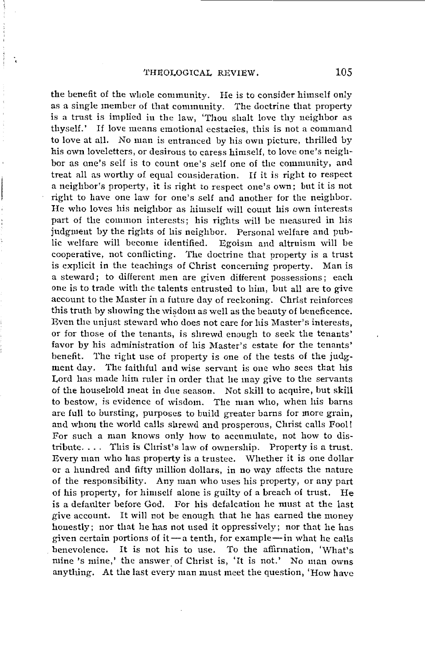the benefit of the whole comnmnity. He is to consider himself only as a single member of that community. The doctrine that property is a trnst is implied in the law, 'Thou shalt love thy neighbor as thyself.' If love means emotional ecstacies, this is not a command to love at all. No man is entranced by his own picture, thrilled by his own loveletters, or desirous to caress himself, to love one's neighbor as ane's self is to count one's self one of the comnmnity, and treat all as worthy of equal consideration. If it is right to respect a neighbor's property, it is right to respect one's own; but it is not right to have one law for one's self and another for the neighbor. He who loves his neighbor as himself will couut his own interests part of the common interests; his rights will be measured in his judgment by the rights of his neighbor. Personal welfare and public welfare will become identified. Egoism and altruism will be cooperative, not conflicting. The doctrine that property is a trust is explicit in the teachings of Christ concerning property. Man is a steward; to different men are given different possessions; each one is to trade with the talents entrusted to him, but all are to give account to the Master in a future day of reckoning. Christ reinforces this truth by showing the wisdom as well as the beauty of beneficence. Even the unjust steward who does not care for his Master's interests, or for those of the tenants, is shrewd enough to seek the tenants' favor by his administration of his Master's estate for the tenants' benefit. The right use of property is one of the tests of the judgment day. The faithful and wise servant is one who sees that his Lord has made him ruler in order that he may give to the servants of the household meat in due season. Not skill to acquire, but skill to bestow, is evidence of wisdom. The man who, when his barns are full to bursting, purposes to build greater barns for more grain, and whom the world calls shrewd and prosperous, Christ calls Fool! For such a man knows only how to accumulate, not how to distribute. . . . This is Christ's law of ownership. Property is a trust. Every man who has property is a trustee. Whether it is one dollar or a hundred and fifty million dollars, in no way affects the nature of the responsibility. Any man who uses his property, or any part of his property, for himself alone is guilty of a breach of trust. He is a defaulter before God. For his defalcation he must at the last give account. It will not be enough that he has earned the money honestly; nor that he has not used it oppressively; nor that he has given certain portions of it  $-a$  tenth, for example  $-\text{in}$  what he calls benevolence. lt is not his to use. To the affirmation, 'What's mine 's mine,' the answer of Christ is, 'It is not.' No man owns anything. At the last every man must meet the question, 'How have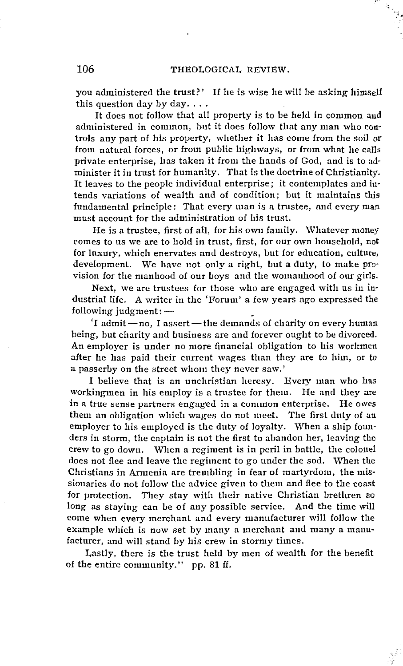you administered the trust?' If he is wise he will be asking himself this question day by day....

lt does not follow that all property is to be held in common and administered in common, but it does follow tliat any man who con· trols any part of his property, whcther it has come from the soil or from natural forces, or from public highways, or from what he calls private enterprise, has taken it from the hands of God, and is to ad· minister it in trust for humanity. That is the doctrine of Christianity. It leaves to the people individual enterprise; it contemplates and in· tends variations of wealth and of condition; but it maintains this fundamental principle: That every man is a trustee, and every man must account for the administration of his trust.

He is a trustee, first of all, for his own family. 'Whatever money comes to us we are to hold in trust, first, for our own household, not for luxury, which enervates and destroys, but for education, culture, development. We have not only a right, but a duty, to make pro· vision for the manhood of our boys and the womanhood of our girls.

Next, we are trustees for those who are engaged with us in in· dustrial life. A writer in the 'Forum' a few years ago expressed the following judgment: $-$ 

'I admit-no, I assert-the demands of charity on every human being, but charity and business are and forever ought to be divorced. An employer is under no more financial obligation to his workmen after he has paid their current wages than they are to him, or to a passerby on the street whom they never saw.'

I believe that is an unchristian heresy. Every man who lias workingmen in his employ is a trustee for them. He and they are in a true sense partners engaged in a common enterprise. He owes them an obligation which wages do not meet. The first duty of an employer to his employed is the duty of loyalty. When a ship foun· ders in storm, the captain is not the first to abandon her, leaving the crew to go down. When a regiment is in peril in battle, the colonel does not flee and leave the regiment to go under the sod. When the Christians in Armenia are trembling in fear of martyrdom, the mis· sionaries do not follow the advice given to them and flee to the coast for protection. They stay with their native Christian brethren so long as staying can be of any possible service. And the time will come when every merchant and every manufacturer will follow the exaruple which is now set by many a merchant aud many a manufacturer, and will stand by bis crew in stormy times.

Lastly, there is the trust held by men of wealth for the benefit of the entire community." pp. 81 ff.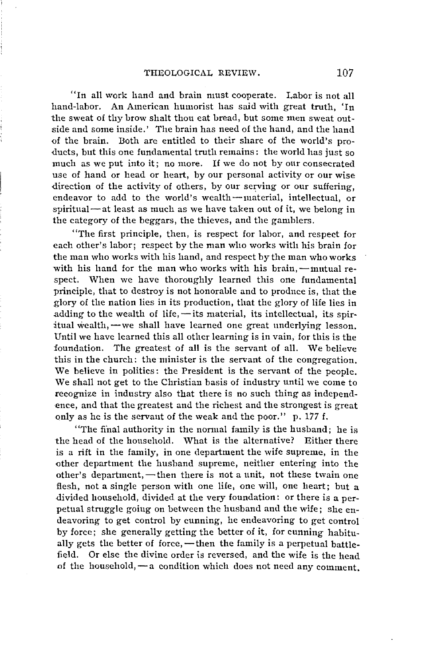"In all work hand and brain must cooperate. Labor is not all hand-labor. An American humorist has said with great truth, 'In the sweat of thy brow shalt thou eat bread, but some men sweat outside and some inside.' The brain has need of the hand, and the hand of the brain. Both are entitled to their share of the world's pro ducts, but this one fundamental truth remains: the world has just so much as we put into it; no more. If we do not by onr consecrated use of hand or head or heart, by our personal activity or our wise direction of the activity of others, by our serving or our suffering. endeavor to add to the world's wealth-material, intellectual, or spiritual  $-$  at least as much as we have taken out of it, we belong in the category of the beggars, the thieves, and the gamblers.

"The first principle, then, is respect for labor, and respect for each other's labor; respect by the man who works with his brain for the man who works with his hand, and respect by the man who works with his hand for the man who works with his brain,  $-$ mutual respect. When we have thoroughly learned this one fundamental principle, that to destroy is not honorable and to produce is, that the glory of the nation lies in its production, that the glory of life lies in adding to the wealth of life,  $-$ its material, its intellectual, its spiritual wealth, - we shall have learned one great underlying lesson. Until we have learned this all other learning is in vain, for this is the foundation. The greatest of all is the servant of all. We believe this in the church: the minister is the servant of the congregation. We believe in politics: the President is the servant of the people. We shall not get to the Christian basis of industry until we come to recognize in industry also that there is no such thing as independence, and that the greatest and the richest and the strongest is great only as he is the servaut of the weak and the poor." p. 177 f.

"The final authority in the normal family is the husband; he is the head of the household. What is the alternative? Either there is a rift in the family, in one department the wife supreme, in the other department the husband supreme, neither entering into the other's department, - then there is not a unit, not these twain one flesh, not a single person with one life, one will, one heart; but a divided household, divided at the very foundation: or there is a perpetual struggle goiug on between the husband and the wife; she endeavoring to get control by cunning, he endeavoring to get control by force; she generally getting the better of it, for cunning habitually gets the better of force,  $-\theta$  then the family is a perpetual battlefield. Or else the divine order is reversed, and the wife is the head of the household, - a condition which does not need any comment.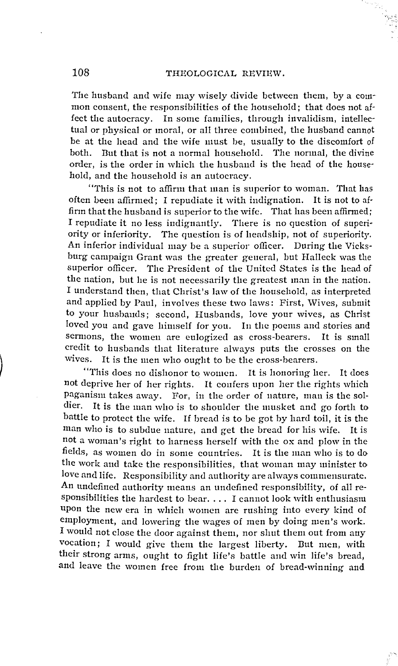#### 108 THEOLOGICAL REVIEW.

The husband and wife may wisely divide between them, by a com· mon consent, the responsibilities of the household; that does not af· fect the autocracy. In some families, through invalidism, intellectual or physical or moral, or all three combined, the husband cannot be at the head and the wife must be, usually to the discomfort of both. But that is not a normal household. The normal, the divine order, is the order in which the husband is the head of the household, and the household is an autocracy.

"This is not to affirm that man is Superior to woman. Tlint has often been affirmed; I repudiate it with indignation. lt is not to affirm that the husband is superior to the wife. That has been affirmed: I repudiate it no less iudignantly. There is no question of superiority or inferiority. The question is of headship, not of superiority. An inferior individual may be a superior officer. During the Vicksburg campaign Grant was the greater geueral, but Halleck was the superior officer. The President of the United States is the head of the nation, but he is not necessarily the greatest man in the nation. I understand then, that Christ's law of the household, as interpreted and applied by Paul, involves these two laws: First, Wives, submit to your husbamls; second, Husbands, love your wives, as Christ loved you and gave himself for you. In the poems and stories and sermions, the women are eulogized as cross-bearers. It is small credit to husbands that literature always puts the crosses on the wives. lt is the men who ought to be the cross-bearers.

"This does no dishonor to women. lt is honoring her. lt does not deprive her of her rights. lt confers upon her the rights which paganism takes away. For, in the order of nature, mau is the soldier. lt is the man who is to shoulder the musket and go forth to hattle to protect the wife. If bread is to be got by hard toil, it is the man who is to subdue nature, and get the bread for his wife. lt is not a woman's right to harness herself with the ox and plow in the fields, as women do iu some countries. lt is the man who is to do the work aud take the responsibilities, that woman may minister to love and life. Responsibility and authority are always commensurate. An undefined authority means an undefined responsibility, of all responsibilities the hardest to bear .... I canuot look with enthusiasm upon the new era in which womcu are rushing into every kind of employment, and lowering the wages of men by doing men's work. I would not close the door against them, nor shut them out from auy vocation; I would give them the largest liberty. But men, with their strong arms, ought to fight life's battle and win life's bread, and leave the women free from the burden of bread-winning and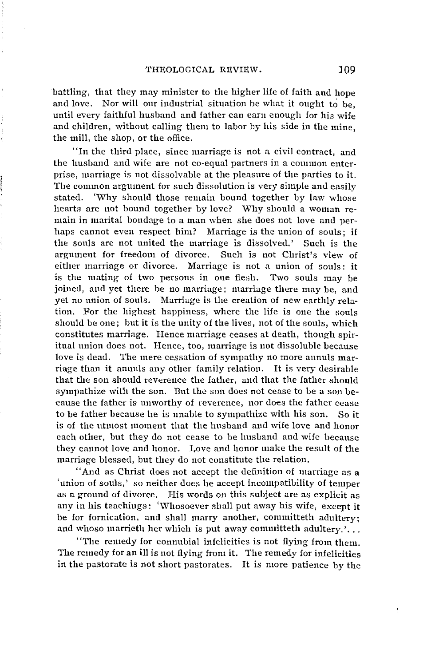battling, that they may minister to the higher life of faith and hope and love. Nor will our industrial situation be what it ought to be, until every faithful husband and father can earn enough for his wife and children, without calling them to labor by his side in the mine, the mill, the shop, or the office.

Í

"In the third place, since marriage is not a civil contract, and the husband and wife are not co·equal partners in a connnon enterprise, marriage is not dissolvable at the pleasure of the parties to it. The counnon argument for such dissolution is very simple and easily stated. 'Why should those remain bound together by law whose hearts are not bound together by love? Why should a woman remain in marital bondage to a man when she does not love and perhaps cannot even respect him? Marriage is the union of souls; if the souls are not united the marriage is dissolved.' Such is the argument for freedom of divorce. Such is not Christ's view of either marriage or divorce. Marriage is not a union of souls: it is the mating of two persons in one flesh. Two souls may be joined, and yet there be no marriage; marriage there may be, and yet no union of souls. Marriage is the creation of new earthly relation. For the highest happiness, where the life is one the souls should be one; but it is the unity of the lives, not of the souls, which constitutes marriage. Hence marriage ceases at death, though spiritual union does not. Hence, too, marriage is not dissoluble because love is dead. The mere cessation of sympathy no more aunuls mar· riage than it ammls any other family relation. lt is very desirable that the son should reverence the father, and that the father should sympathize with the son. But the son does not cease to be a son becausc the father is unworthy of reverence, nor does the father cease to be father because he is unable to sympathize with his son. So it is of the utmost moment that the husband and wife love and honor each other, but they do not cease to be lmsband and wife because they cannot love and honor. I,ove and honor make the result of the marriage blessed, but they do not constitute the relation.

"And as Christ does not accept the definition of marriage as a 'union of souls,' so neither does he accept incompatibility of temper as a ground of divorce. His words on this subject are as explicit as any in his teachings: 'Whosoever shall put away his wife, except it be for fornication, and shall marry another, committeth adultery; and whoso marrieth her which is put away committeth adultery.'...

''The remedy for connubial infelicities is not fiying from them. The remedy for an ill is not flying from it. The remedy for infelicities in the pastorate is not short pastorates. It is more patience by the

f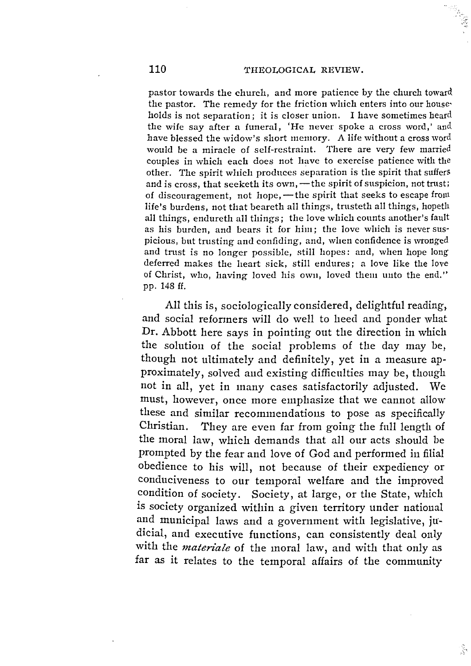pastor towards the church, and more patience by the church toward the pastor. The remedy for the friction which enters into our house· holds is not separation; it is closer union. I have sometimes heard the wife say after a funeral, 'He never spoke a cross word,' and have blessed the widow's short memory. A life without a cross ward would be a miracle of self-restraint. There are very few married couples in which each does not have to exercise patience with the other. The spirit which produces separation is the spirit that suffers and is cross, that seeketh its own, - the spirit of suspicion, not trust; of discouragement, not hope, - the spirit that seeks to escape from life's burdens, not that beareth all things, trusteth all things, hopeth all things, endureth all things; the love which counts another's fault as his burden, and bears it for him; the love which is never sus· picious, but trusting and confiding, and, when confidence is wronged and trust is no longer possible, still hopes: and, when hope long deferred makes the heart sick, still endures; a love like the love of Christ, who, having loved his owu, loved them uuto the end." pp. 148 ff.

All this is, sociologically considered, delightful reading, and social reformers will do well to heed and ponder what Dr. Abbott here says in pointing out the direction in which the solution of the social problems of the day may be, though not ultimately and definitely, yet in a measure approximately, solved aud existing difficnlties may be, though not in all, yet in many cases satisfactorily adjusted. We must, however, once more emphasize that we cannot allow these and similar recommendations to pose as specifically Christian. They are even far from going the fnll length of the moral law, which demands that all our acts should be prompted by the fear and love of God and performed in filial obedience to his will, not because of their expediency or conduciveness to our temporal welfare and the improved condition of society. Society, at large, or the State, which is society organized within a given territory under national and municipal laws and a government with legislative, judicial, and executive functions, can consistently deal only with the *materiale* of the moral law, and with that only as far as it relates to the temporal affairs of the community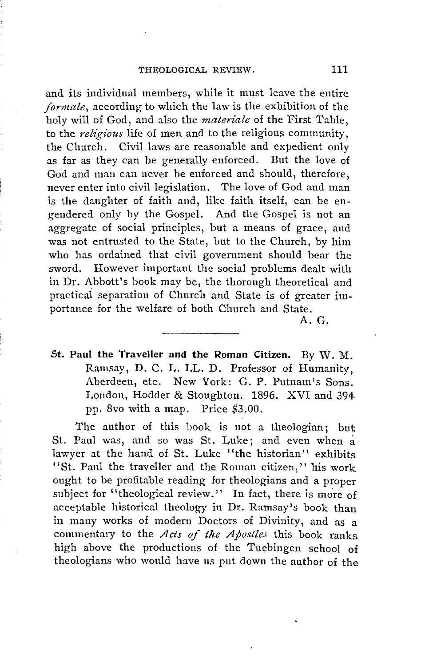and its individual members, while it must leave the entire *formale*, according to which the law is the exhibition of the holy will of God, and also the *materiale* of the First 'fable, to the *religious* life of men and to the religious community, the Church. Civil laws are reasonable and expedient only as far as they can be generally enforced. But the love of God and man can never be enforced and should, therefore, never enter into civil legislation. The love of God and man is the daughter of faith and, like faith itself, can be engendered only by the Gospel. And the Gospel is not an aggregate of social principles, but a means of grace, and was not entrusted to the State, but to the Church, by him who has ordained that civil government should bear the sword. However important the social problems dealt with in Dr. Abbott's book may be, the thorough theoretical and practical separation of Church and State is of greater importance for the welfare of both Church and State.

A. G.

St. Paul the Traveller and the Roman Citizen. By W. M. Ramsay, D. C. **L.** LL. D. Professor of Humanity, Aberdeen, etc. New York: G. P. Putnam's Sons. London, Hodder & Stoughton. 1896. XVI and 394 pp. 8vo with a map. Price \$3.00.

The author of this book is not a theologian; but St. Paul was, and so was St. Luke; and even when a lawyer at the hand of St. Luke ''the historian'' exhibits "St. Paul the traveller and the Roman citizen," his work ought to be profitable reading for theologians and a proper subject for "theological review." In fact, there is more of acceptable historical theology in Dr. Ramsay's book than in many works of modern Doctors of Divinity, and as a commentary to the *Acts of the Apostles* this book ranks high above the productions of the Tnebingen school of theologians who would have us put down the author of the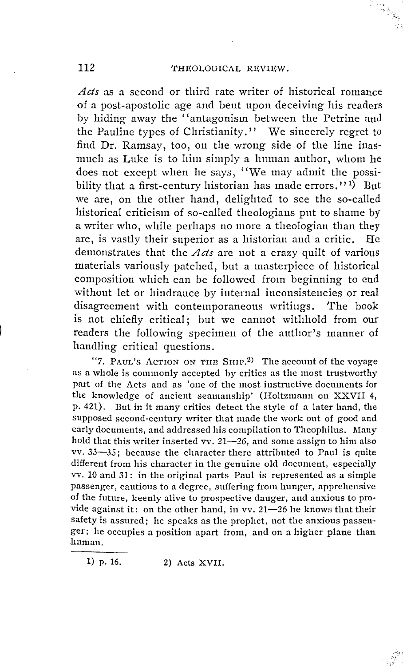Acts as a second or third rate writer of historical romance of a post-apostolic age and bent upon deceiving his readers by hiding away the "antagonism between the Petrine and the Pauline types of Christianity." We sincerely regret to find Dr. Ramsay, too, on the wrong side of the line inasmuch as Luke is to him simply a human author, whom he does not except when he says, "We may admit the possibility that a first-century historian has made errors."<sup>1</sup>) But we are, on the other hand, delighted to see the so-called historical criticism of so-called theologians put to shame by a writer who, while perhaps no more a theologian than they are, is vastly their superior as a historian and a critic. He demonstrates that the  $Acts$  are not a crazy quilt of various materials variously patched, but a masterpiece of historical composition which can be followed from beginning to end without let or hindrance by internal inconsistencies or real disagreement with contemporaneous writings. The book is not chiefly critical; but we cannot withhold from our readers the following specimen of the author's manner of handling critical questions.

"7. PAUL'S ACTION ON THE SHIP.<sup>2)</sup> The account of the voyage as a whole is commonly accepted by critics as the most trustworthy part of the Acts and as 'one of the most instructive documents for the knowledge of ancient seamanship' (Holtzmann on XXVII 4, p. 421). But in it many critics detect the style of a later hand, the supposed second-century writer that made the work out of good and early documents, and addressed his compilation to Theophilus. Many hold that this writer inserted vv. 21-26, and some assign to him also vv. 33-35; because the character there attributed to Paul is quite different from his character in the genuine old document, especially vv. 10 and 31: in the original parts Paul is represented as a simple passenger, cautious to a degree, suffering from hunger, apprehensive of the future, keenly alive to prospective danger, and anxious to provide against it: on the other hand, in vv. 21-26 he knows that their safety is assured; he speaks as the prophet, not the anxious passenger; he occupies a position apart from, and on a higher plane than human.

1) p. 16. 2) Acts XVII.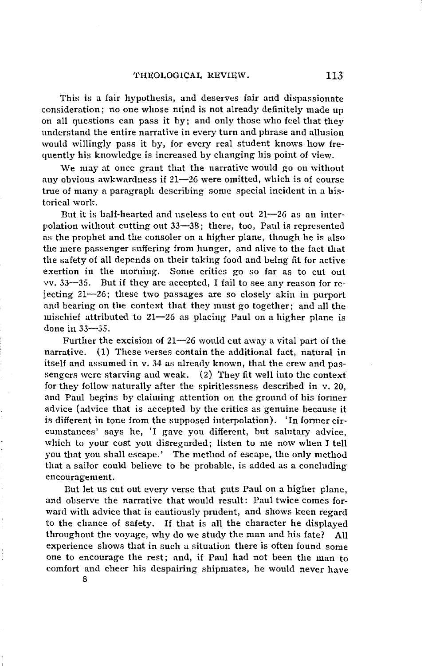'l'HEOLOGICAL REVIEW. 113

This is a fair hypothesis, and deserves fair and dispassionate consideration; no one whose mind is not already definitely made up on all questions can pass it by; and only those who feel that they understand the entire narrative in every turn and phrase and allusion would willingly pass it by, for every real student knows how frequently his knowledge is increased by changing his point of view.

We may at once grant that the narrative would go on without any obvious awkwardness if  $21-26$  were omitted, which is of course true of many a paragraph describing some special incident in a his· torical work.

But it is half-hearted and useless to cut out 21-26 as an interpolation without cutting out 33-38; there, too, Paul is represented as the prophet and the consoler on a higher plane, though he is also the mere passenger suffering from hunger, and alive to the fact that the safety of all depends on their taking food and being fit for active exertion in the morning. Some critics go so far as to cut out vv. 33-35. But if they are accepted, I fail to see any reason for rejecting 21-26; these two passages are so closely akin in purport and bearing on the context that they must go together; and all the mischief attributed to  $21-26$  as placing Paul on a higher plane is done in 33-35.

Further the excision of  $21-26$  would cut away a vital part of the narrative. (1) These verses contain the additional fact, natural in itself and assumed in v. 34 as already known, that the crew and passengers were starving and weak. (2) They fit well into the context for they follow naturally after the spiritlessness described in v. 20, and Paul begins by claiming attention on the ground of his former advice (advice that is accepted by the critics as genuine because it is different in tone from the supposed interpolation). 'In former circumstances' says he, 'I gave you different, but salutary advice, which to your cost you disregarded; listen to me now when I tell you that you shall escape.' The method of escape, the only method that a sailor could believe to be probable, is added as a concluding encouragement.

But let us cut out every verse that puts Paul on a higher plane, and observe the narrative that would result: Paul twice comes forward with advice that is cautiously prudent, and shows keen regard to the chauce of safety. If that is all the character he displayed throughout the voyage, why do we study the man and bis fate? All experience shows that in such a situation there is often found some one to encourage the rest; and, if Paul had not been the man to comfort and cheer his despairing shipmates, he would never have 8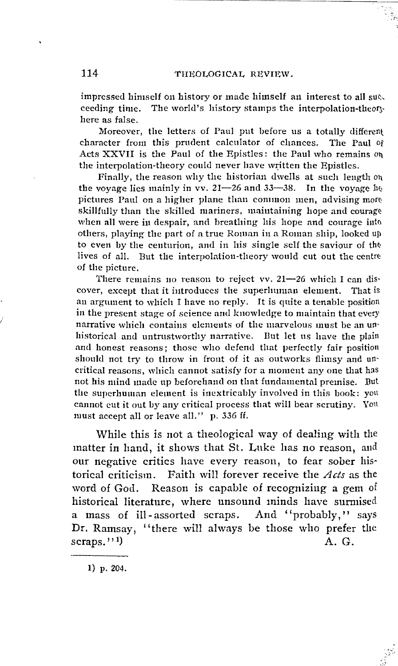#### 114 THEOLOGICAL REVIEW.

impressed himself on history or made himself an interest to all succeeding time. The world's history stamps the interpolation-theory here as false.

Moreover, the letters of Paul put before us a totally different character from this prudent calculator of chances. The Paul of Acts XXVII is the Paul of the Epistles: the Paul who remains on the interpolation-theory could never have written the Epistles.

Finally, the reason why the historian dwells at such length  $o<sub>h</sub>$ the voyage lies mainly in vv.  $21-26$  and  $33-38$ . In the voyage be pictures Paul on a higher plane than common men, advising more skillfully than the skilled mariners, maintaining hope and courage when all were in despair, and breathing his hope and courage into others, playing the part of a true Roman in a Roman ship, looked ur, to even by the centurion, and in his single self the saviour of the lives of all. But the interpolation-theory would cut out the centre of the picture.

There remains no reason to reject vv. 21-26 which I can discover, except that it introduces the superluman element. That is an argument to which I have no reply. It is quite a tenable position in the present stage of science and knowledge to maintain that every narrative which contains elements of the marvelous must be an unhistorical and untrustworthy narrative. But let us have the plain and honest reasons; those who defend that perfectly fair position should not try to throw in front of it as outworks flimsy and uncritical reasons, which cannot satisfy for a moment any one that has not his mind made up heforehaml cm tliat fundamental premise. Dut the superhuman element is inextricably involved in this book: you cannot cut it out by any critical process tliat will bear scrutiny. Yon must accept all or leave all." p. 336 ff.

While this is not a theological way of dealing with the matter in hand, it shows that St. Luke has no reason, and our negative critics have every reason, to fear sober his· torical criticism. Faith will forever receive the *Acts* as the word of God. Reason is capable of recognizing a gem of historical literature, where unsound minds have surmised a mass of ill-assorted scraps. And "probably," says Dr. Ramsay, "there will always be those who prefer the scraps."<sup>1</sup>)  $(A, G,$ 

1) p. 204.

/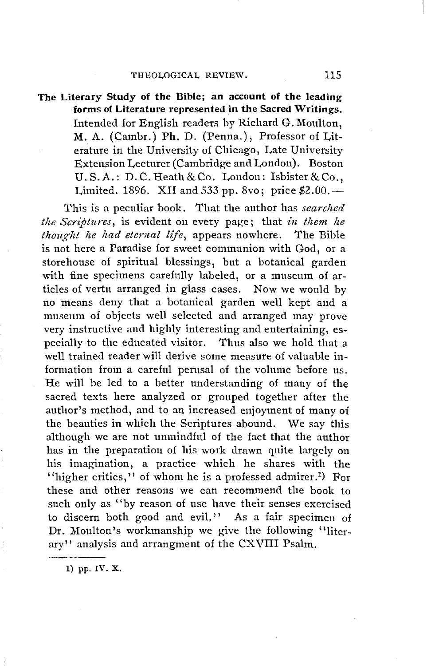# **The Literary Study of the Bible; an account of the leading forrns of Literature represented in the Sacred Writings.**  Intended for English readers by Richard G. Moulton, **M.** A. (Cambr.) Ph. D. (Penna.), Professor of Lit• erature in the University of Chicago, Late University Extension Lecturer (Cambridge and London). Boston U.S.A.: D.C.Heath&Co. London: Isbister&Co., Limited. 1896. XII and 533 pp. 8vo; price  $$2.00$ .

This is a peculiar book. That the author has *searched the Scriptures, is evident on every page; that in them he thought he liad eternal life,* appears nowhere. The Bible is not here a Paradise for sweet communion with God, or a storehouse of spiritual blessings, but a botanical garden with fine specimens carefully labeled, or a museum of articles of vertu arranged in glass cases. Now we would by no means deny that a botanical garden well kept and a museum of objects well selected and arranged may prove very instructive and highly interesting and entertaining, es• pecially to the educated visitor. Thus also we hold that a well trained reader will derive some measure of valuable in• formation from a carefnl pemsal of the volume before us. He will be led to a better understanding of many of the sacred texts here analyzed or grouped together after the author's method, and to an increased enjoyment of many of the beauties in which the Scriptures abound. We say this although we are not unmindful of the fact that the author has in the preparation of his work drawn quite largely on his imagination, a practice which he shares with the "higher critics," of whom he is a professed admirer.<sup>1</sup>) For these and other reasons we can recommend the book to such only as ''by reason of use have their senses exercised to discern both good and evil." As a fair specimen of Dr. Moulton's workmanship we give the following "literary" analysis and arrangment of the CXVIII Psalm.

1) pp. IV. **X.**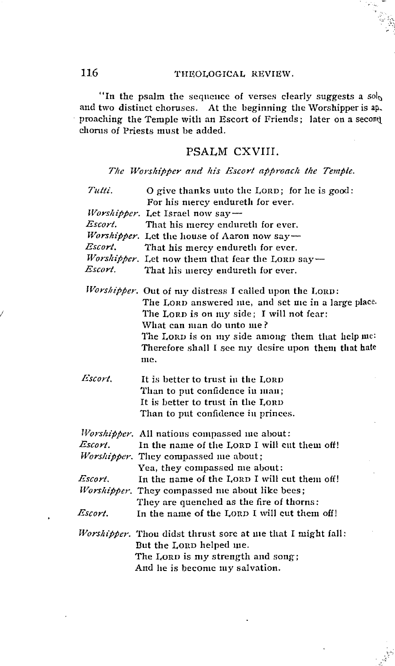### 116 THEOLOGICAL REVIEW.

"In the psalm the sequence of verses clearly suggests a  $sol_0$ and two distinct choruses. At the beginning the Worshipper is ap, proaching the Temple with an Escort of Friends; later on a secont choms of Priests must be added.

# PSALM CXVIII.

The Worshipper and his Escort approach the Temple.

| Tutti.  | O give thanks unto the LORD; for he is good:                                                                                                                                                                                                                                                          |
|---------|-------------------------------------------------------------------------------------------------------------------------------------------------------------------------------------------------------------------------------------------------------------------------------------------------------|
|         | For his mercy endureth for ever.                                                                                                                                                                                                                                                                      |
|         | Worshipper. Let Israel now say-                                                                                                                                                                                                                                                                       |
| Escort. | That his mercy endureth for ever.                                                                                                                                                                                                                                                                     |
|         | Worshipper. Let the house of Aaron now say-                                                                                                                                                                                                                                                           |
| Escort. | That his mercy endureth for ever.                                                                                                                                                                                                                                                                     |
|         | Worshipper. Let now them that fear the LORD say-                                                                                                                                                                                                                                                      |
| Escort. | That his mercy endureth for ever.                                                                                                                                                                                                                                                                     |
|         | Worshipper. Out of my distress I called upon the LORD:<br>The LORD answered me, and set me in a large place.<br>The LORD is on my side; I will not fear:<br>What can man do unto me?<br>The LORD is on my side among them that help me:<br>Therefore shall I see my desire upon them that hate<br>me. |
| Escort. | It is better to trust in the LORD<br>Than to put confidence in man;<br>It is better to trust in the LORD<br>Than to put confidence in princes.                                                                                                                                                        |
|         | Worshipper. All nations compassed me about:                                                                                                                                                                                                                                                           |
| Escort. | In the name of the LORD I will cut them off!                                                                                                                                                                                                                                                          |
|         | Worshipper. They compassed me about;                                                                                                                                                                                                                                                                  |
|         | Yea, they compassed me about:                                                                                                                                                                                                                                                                         |
| Escort. | In the name of the LORD I will cut them off!                                                                                                                                                                                                                                                          |
|         | <i>Worshipper.</i> They compassed me about like bees;                                                                                                                                                                                                                                                 |
|         | They are quenched as the fire of thorns:                                                                                                                                                                                                                                                              |
| Escort. | In the name of the LORD I will cut them off!                                                                                                                                                                                                                                                          |
|         | Worshipper. Thou didst thrust sore at me that I might fall:<br>But the LORD helped me.<br>The LORD is my strength and song;<br>And he is become my salvation.                                                                                                                                         |

*I*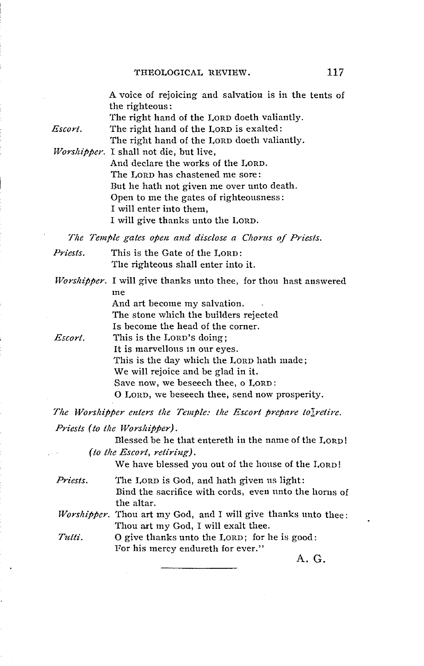A voice of rejoicing and salvation is in the tents of the righteous : The right hand of the LORD doeth valiantly. *Escort.* The right hand of the LORD is exalted: The right hand of the LORD doeth valiantly. *Wors!iipper.* I shall not die, but live, And declare the works of the LORD. The LORD has chastened me sore : But he hath not given me over unto death. Open to me the gates of righteousness: I will enter into them, I will give thanks unto the LORD.

The Temple gates open and disclose a Chorus of Priests.

*Priests.* This is the Gate of the LORD: The righteous shall enter into it.

*Worshipper.* I will give thanks unto thee, for thou hast answered me

And art become my salvation. The stone which the builders rejected Is become the head of the corner.

*Escort.*  This is the LoRD's doing; It is marvellous in our eyes. This is the day which the LORD hath made; We will rejoice and be glad in it. Save now, we beseech thee, o LORD: O LORD, we beseech thee, send now prosperity.

*The Worshipper enters the Temple: the Escort prepare to* $\frac{1}{6}$  retire.

*Priests (to the Worshipper).* 

Blessed be he that entereth in the name of the LORD! *(to the Escort, retiring).* 

We have blessed you out of the house of the LORD!

*Priests.* The LORD is God, and hath given us light: Bind the sacrifice with cords, even unto the horns of the altar.

*Worshipper.* Thou art my God, and I will give thanks unto thee: Thou art my God, I will exalt thee.

*Tutti.* 0 give thanks unto the LORD; for he is good: For his mercy endureth for ever."

A. G.